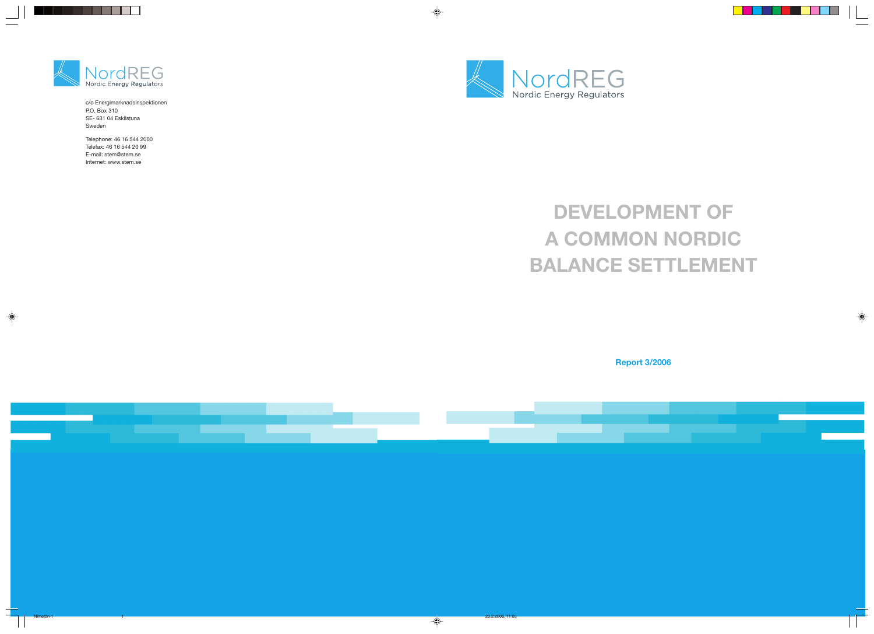

# **DEVELOPMENT OF A COMMON NORDIC BALANCE SETTLEMENT**

**Report 3/2006**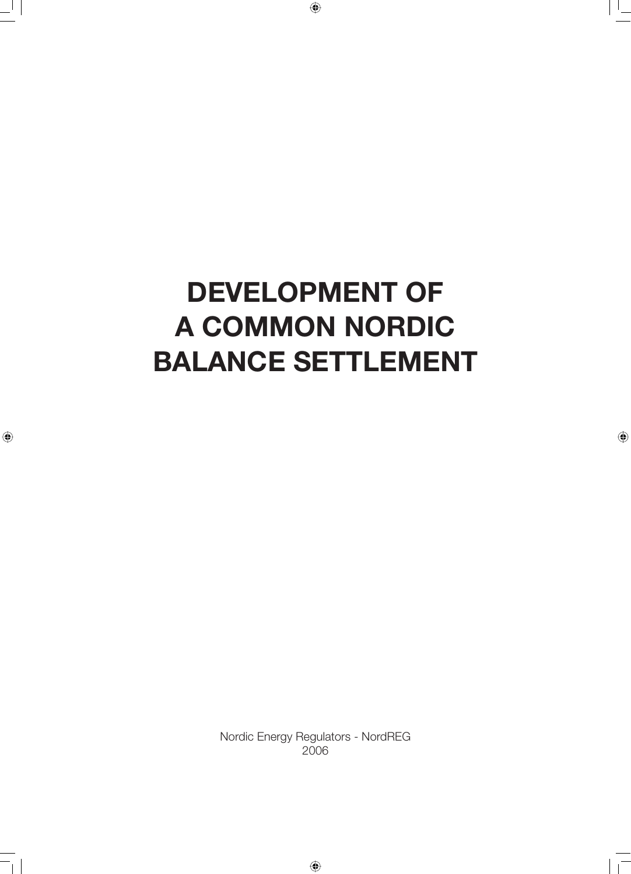# **DEVELOPMENT OF A COMMON NORDIC BALANCE SETTLEMENT**

Nordic Energy Regulators - NordREG 2006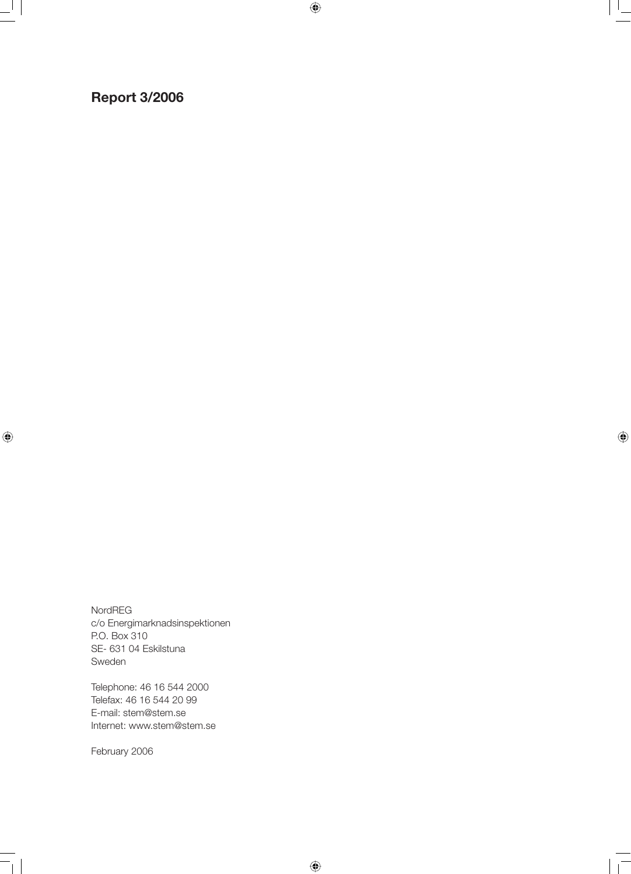## **Report 3/2006**

NordREG c/o Energimarknadsinspektionen P.O. Box 310 SE- 631 04 Eskilstuna Sweden

Telephone: 46 16 544 2000 Telefax: 46 16 544 20 99 E-mail: stem@stem.se Internet: www.stem@stem.se

February 2006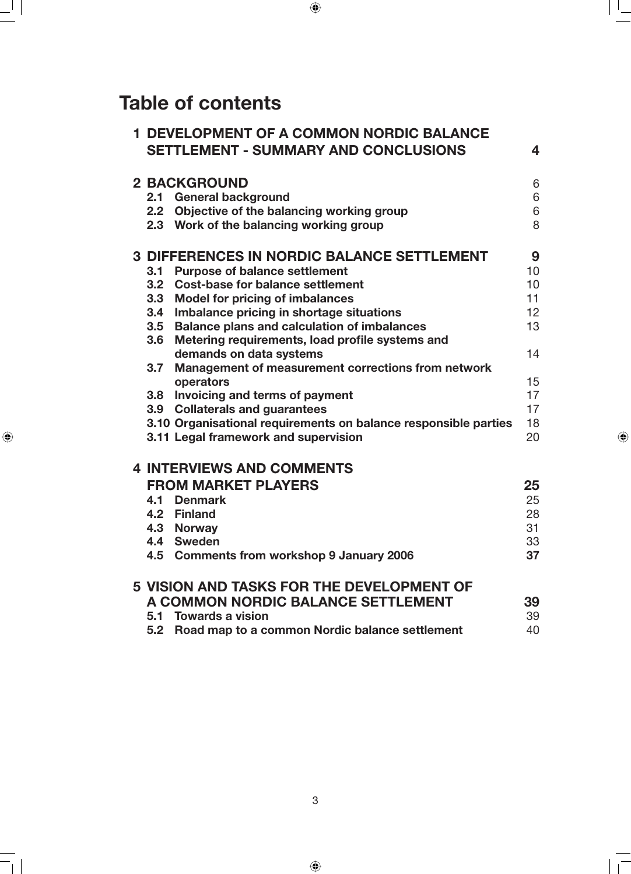## **Table of contents**

|  |                  | <b>1 DEVELOPMENT OF A COMMON NORDIC BALANCE</b><br><b>SETTLEMENT - SUMMARY AND CONCLUSIONS</b> | 4  |
|--|------------------|------------------------------------------------------------------------------------------------|----|
|  |                  | <b>2 BACKGROUND</b>                                                                            | 6  |
|  | 2.1              | <b>General background</b>                                                                      | 6  |
|  | 2.2              | Objective of the balancing working group                                                       | 6  |
|  |                  | 2.3 Work of the balancing working group                                                        | 8  |
|  |                  | <b>3 DIFFERENCES IN NORDIC BALANCE SETTLEMENT</b>                                              | 9  |
|  | 3.1              | <b>Purpose of balance settlement</b>                                                           | 10 |
|  | 3.2              | <b>Cost-base for balance settlement</b>                                                        | 10 |
|  | 3.3 <sub>2</sub> | <b>Model for pricing of imbalances</b>                                                         | 11 |
|  | 3.4              | Imbalance pricing in shortage situations                                                       | 12 |
|  | 3.5              | <b>Balance plans and calculation of imbalances</b>                                             | 13 |
|  | 3.6              | Metering requirements, load profile systems and                                                |    |
|  |                  | demands on data systems                                                                        | 14 |
|  | 3.7              | Management of measurement corrections from network                                             |    |
|  |                  | operators                                                                                      | 15 |
|  | 3.8              | Invoicing and terms of payment                                                                 | 17 |
|  |                  | 3.9 Collaterals and guarantees                                                                 | 17 |
|  |                  | 3.10 Organisational requirements on balance responsible parties                                | 18 |
|  |                  | 3.11 Legal framework and supervision                                                           | 20 |
|  |                  | <b>4 INTERVIEWS AND COMMENTS</b>                                                               |    |
|  |                  | <b>FROM MARKET PLAYERS</b>                                                                     | 25 |
|  | 4.1              | <b>Denmark</b>                                                                                 | 25 |
|  |                  | 4.2 Finland                                                                                    | 28 |
|  |                  | 4.3 Norway                                                                                     | 31 |
|  |                  | 4.4 Sweden                                                                                     | 33 |
|  |                  | 4.5 Comments from workshop 9 January 2006                                                      | 37 |
|  |                  | <b>5 VISION AND TASKS FOR THE DEVELOPMENT OF</b>                                               |    |
|  |                  | A COMMON NORDIC BALANCE SETTLEMENT                                                             | 39 |
|  |                  | 5.1 Towards a vision                                                                           | 39 |
|  | 5.2              | Road map to a common Nordic balance settlement                                                 | 40 |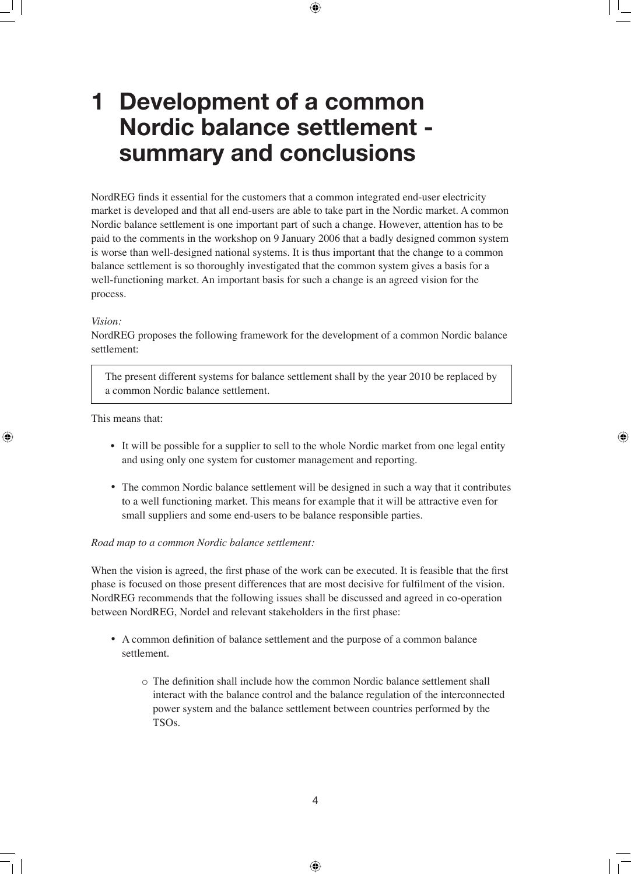## **1 Development of a common Nordic balance settlement summary and conclusions**

NordREG finds it essential for the customers that a common integrated end-user electricity market is developed and that all end-users are able to take part in the Nordic market. A common Nordic balance settlement is one important part of such a change. However, attention has to be paid to the comments in the workshop on 9 January 2006 that a badly designed common system is worse than well-designed national systems. It is thus important that the change to a common balance settlement is so thoroughly investigated that the common system gives a basis for a well-functioning market. An important basis for such a change is an agreed vision for the process.

#### *Vision:*

NordREG proposes the following framework for the development of a common Nordic balance settlement:

The present different systems for balance settlement shall by the year 2010 be replaced by a common Nordic balance settlement.

This means that:

- It will be possible for a supplier to sell to the whole Nordic market from one legal entity and using only one system for customer management and reporting.
- The common Nordic balance settlement will be designed in such a way that it contributes to a well functioning market. This means for example that it will be attractive even for small suppliers and some end-users to be balance responsible parties.

#### *Road map to a common Nordic balance settlement:*

When the vision is agreed, the first phase of the work can be executed. It is feasible that the first phase is focused on those present differences that are most decisive for fulfilment of the vision. NordREG recommends that the following issues shall be discussed and agreed in co-operation between NordREG, Nordel and relevant stakeholders in the first phase:

- A common definition of balance settlement and the purpose of a common balance settlement.
	- $\circ$  The definition shall include how the common Nordic balance settlement shall interact with the balance control and the balance regulation of the interconnected power system and the balance settlement between countries performed by the TSOs.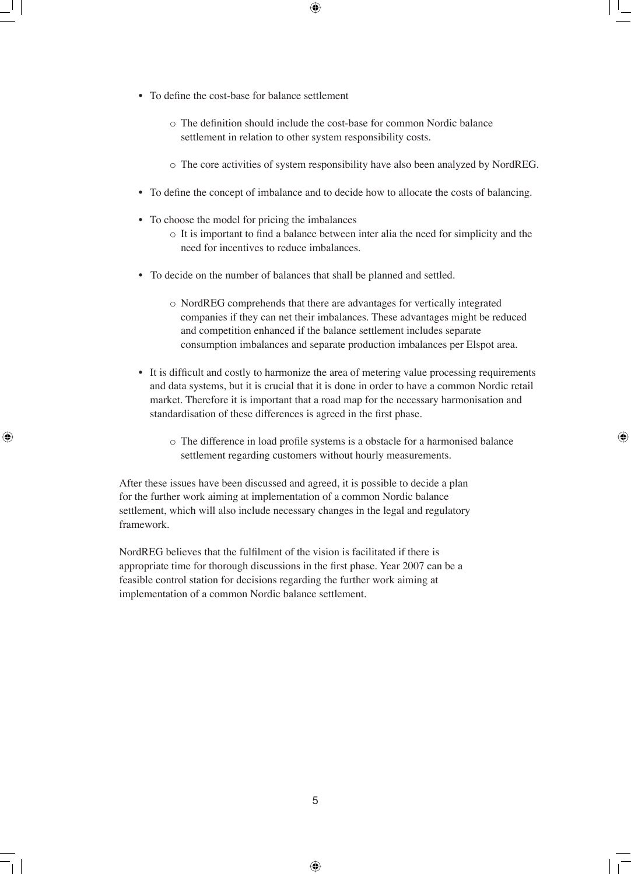- To define the cost-base for balance settlement
	- $\circ$  The definition should include the cost-base for common Nordic balance settlement in relation to other system responsibility costs.
	- o The core activities of system responsibility have also been analyzed by NordREG.
- To define the concept of imbalance and to decide how to allocate the costs of balancing.
- To choose the model for pricing the imbalances
	- $\circ$  It is important to find a balance between inter alia the need for simplicity and the need for incentives to reduce imbalances.
- To decide on the number of balances that shall be planned and settled.
	- o NordREG comprehends that there are advantages for vertically integrated companies if they can net their imbalances. These advantages might be reduced and competition enhanced if the balance settlement includes separate consumption imbalances and separate production imbalances per Elspot area.
- It is difficult and costly to harmonize the area of metering value processing requirements and data systems, but it is crucial that it is done in order to have a common Nordic retail market. Therefore it is important that a road map for the necessary harmonisation and standardisation of these differences is agreed in the first phase.
	- o The difference in load profile systems is a obstacle for a harmonised balance settlement regarding customers without hourly measurements.

After these issues have been discussed and agreed, it is possible to decide a plan for the further work aiming at implementation of a common Nordic balance settlement, which will also include necessary changes in the legal and regulatory framework.

NordREG believes that the fulfilment of the vision is facilitated if there is appropriate time for thorough discussions in the first phase. Year 2007 can be a feasible control station for decisions regarding the further work aiming at implementation of a common Nordic balance settlement.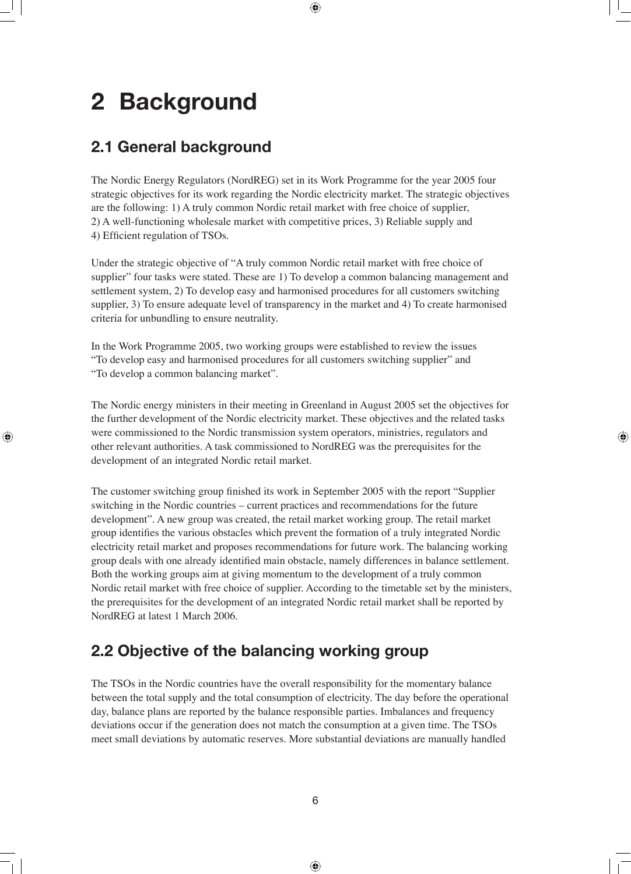## **2 Background**

## **2.1 General background**

The Nordic Energy Regulators (NordREG) set in its Work Programme for the year 2005 four strategic objectives for its work regarding the Nordic electricity market. The strategic objectives are the following: 1) A truly common Nordic retail market with free choice of supplier, 2) A well-functioning wholesale market with competitive prices, 3) Reliable supply and 4) Efficient regulation of TSOs.

Under the strategic objective of "A truly common Nordic retail market with free choice of supplier" four tasks were stated. These are 1) To develop a common balancing management and settlement system, 2) To develop easy and harmonised procedures for all customers switching supplier, 3) To ensure adequate level of transparency in the market and 4) To create harmonised criteria for unbundling to ensure neutrality.

In the Work Programme 2005, two working groups were established to review the issues "To develop easy and harmonised procedures for all customers switching supplier" and "To develop a common balancing market".

The Nordic energy ministers in their meeting in Greenland in August 2005 set the objectives for the further development of the Nordic electricity market. These objectives and the related tasks were commissioned to the Nordic transmission system operators, ministries, regulators and other relevant authorities. A task commissioned to NordREG was the prerequisites for the development of an integrated Nordic retail market.

The customer switching group finished its work in September 2005 with the report "Supplier" switching in the Nordic countries – current practices and recommendations for the future development". A new group was created, the retail market working group. The retail market group identifies the various obstacles which prevent the formation of a truly integrated Nordic electricity retail market and proposes recommendations for future work. The balancing working group deals with one already identified main obstacle, namely differences in balance settlement. Both the working groups aim at giving momentum to the development of a truly common Nordic retail market with free choice of supplier. According to the timetable set by the ministers, the prerequisites for the development of an integrated Nordic retail market shall be reported by NordREG at latest 1 March 2006.

## **2.2 Objective of the balancing working group**

The TSOs in the Nordic countries have the overall responsibility for the momentary balance between the total supply and the total consumption of electricity. The day before the operational day, balance plans are reported by the balance responsible parties. Imbalances and frequency deviations occur if the generation does not match the consumption at a given time. The TSOs meet small deviations by automatic reserves. More substantial deviations are manually handled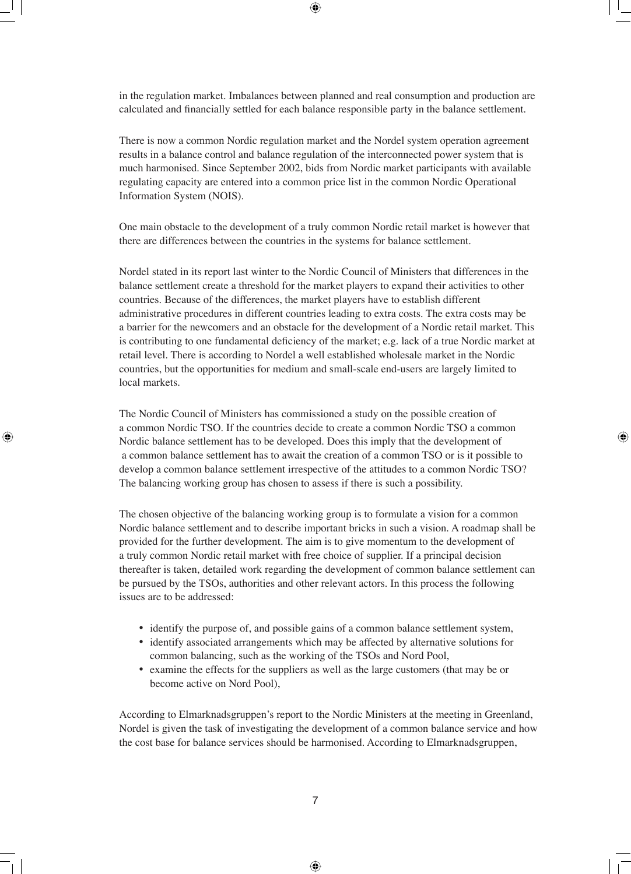in the regulation market. Imbalances between planned and real consumption and production are calculated and financially settled for each balance responsible party in the balance settlement.

There is now a common Nordic regulation market and the Nordel system operation agreement results in a balance control and balance regulation of the interconnected power system that is much harmonised. Since September 2002, bids from Nordic market participants with available regulating capacity are entered into a common price list in the common Nordic Operational Information System (NOIS).

One main obstacle to the development of a truly common Nordic retail market is however that there are differences between the countries in the systems for balance settlement.

Nordel stated in its report last winter to the Nordic Council of Ministers that differences in the balance settlement create a threshold for the market players to expand their activities to other countries. Because of the differences, the market players have to establish different administrative procedures in different countries leading to extra costs. The extra costs may be a barrier for the newcomers and an obstacle for the development of a Nordic retail market. This is contributing to one fundamental deficiency of the market; e.g. lack of a true Nordic market at retail level. There is according to Nordel a well established wholesale market in the Nordic countries, but the opportunities for medium and small-scale end-users are largely limited to local markets.

The Nordic Council of Ministers has commissioned a study on the possible creation of a common Nordic TSO. If the countries decide to create a common Nordic TSO a common Nordic balance settlement has to be developed. Does this imply that the development of a common balance settlement has to await the creation of a common TSO or is it possible to develop a common balance settlement irrespective of the attitudes to a common Nordic TSO? The balancing working group has chosen to assess if there is such a possibility.

The chosen objective of the balancing working group is to formulate a vision for a common Nordic balance settlement and to describe important bricks in such a vision. A roadmap shall be provided for the further development. The aim is to give momentum to the development of a truly common Nordic retail market with free choice of supplier. If a principal decision thereafter is taken, detailed work regarding the development of common balance settlement can be pursued by the TSOs, authorities and other relevant actors. In this process the following issues are to be addressed:

- identify the purpose of, and possible gains of a common balance settlement system,
- identify associated arrangements which may be affected by alternative solutions for common balancing, such as the working of the TSOs and Nord Pool,
- examine the effects for the suppliers as well as the large customers (that may be or become active on Nord Pool),

According to Elmarknadsgruppen's report to the Nordic Ministers at the meeting in Greenland, Nordel is given the task of investigating the development of a common balance service and how the cost base for balance services should be harmonised. According to Elmarknadsgruppen,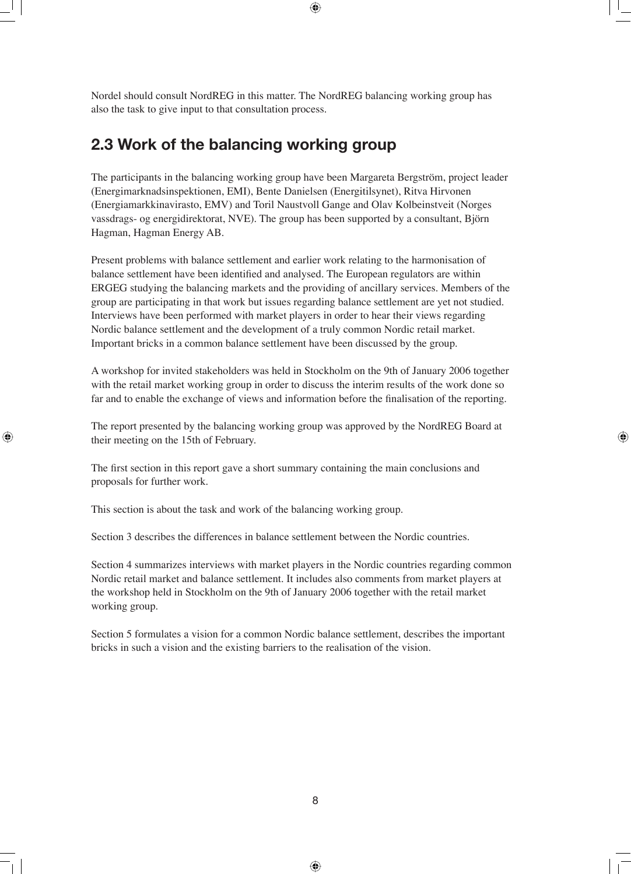Nordel should consult NordREG in this matter. The NordREG balancing working group has also the task to give input to that consultation process.

## **2.3 Work of the balancing working group**

The participants in the balancing working group have been Margareta Bergström, project leader (Energimarknadsinspektionen, EMI), Bente Danielsen (Energitilsynet), Ritva Hirvonen (Energiamarkkinavirasto, EMV) and Toril Naustvoll Gange and Olav Kolbeinstveit (Norges vassdrags- og energidirektorat, NVE). The group has been supported by a consultant, Björn Hagman, Hagman Energy AB.

Present problems with balance settlement and earlier work relating to the harmonisation of balance settlement have been identified and analysed. The European regulators are within ERGEG studying the balancing markets and the providing of ancillary services. Members of the group are participating in that work but issues regarding balance settlement are yet not studied. Interviews have been performed with market players in order to hear their views regarding Nordic balance settlement and the development of a truly common Nordic retail market. Important bricks in a common balance settlement have been discussed by the group.

A workshop for invited stakeholders was held in Stockholm on the 9th of January 2006 together with the retail market working group in order to discuss the interim results of the work done so far and to enable the exchange of views and information before the finalisation of the reporting.

The report presented by the balancing working group was approved by the NordREG Board at their meeting on the 15th of February.

The first section in this report gave a short summary containing the main conclusions and proposals for further work.

This section is about the task and work of the balancing working group.

Section 3 describes the differences in balance settlement between the Nordic countries.

Section 4 summarizes interviews with market players in the Nordic countries regarding common Nordic retail market and balance settlement. It includes also comments from market players at the workshop held in Stockholm on the 9th of January 2006 together with the retail market working group.

Section 5 formulates a vision for a common Nordic balance settlement, describes the important bricks in such a vision and the existing barriers to the realisation of the vision.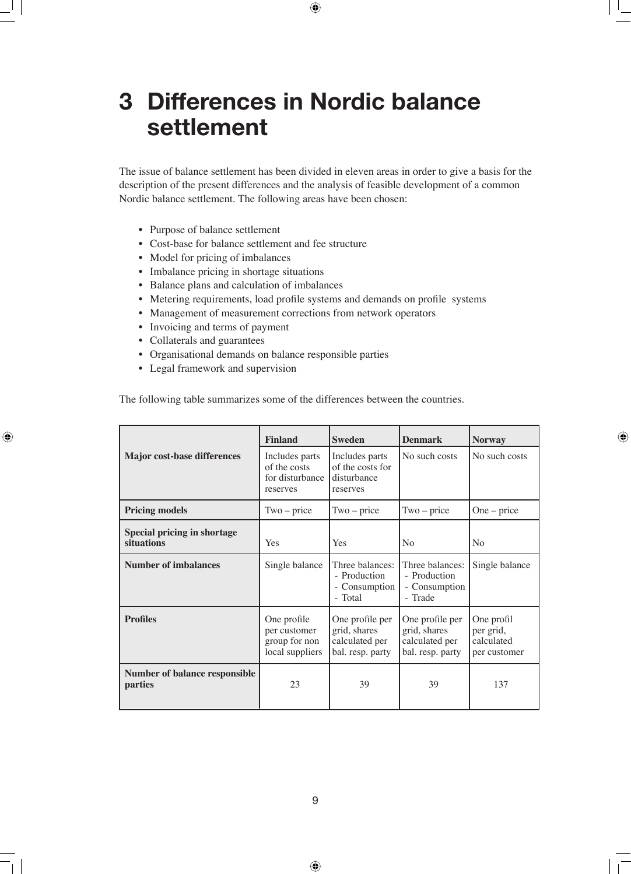## **3 Differences in Nordic balance settlement**

The issue of balance settlement has been divided in eleven areas in order to give a basis for the description of the present differences and the analysis of feasible development of a common Nordic balance settlement. The following areas have been chosen:

- Purpose of balance settlement
- Cost-base for balance settlement and fee structure
- Model for pricing of imbalances
- Imbalance pricing in shortage situations
- Balance plans and calculation of imbalances
- Metering requirements, load profile systems and demands on profile systems
- Management of measurement corrections from network operators
- Invoicing and terms of payment
- Collaterals and guarantees
- Organisational demands on balance responsible parties
- Legal framework and supervision

The following table summarizes some of the differences between the countries.

|                                                        | <b>Finland</b>                                                  | <b>Sweden</b>                                                         | <b>Denmark</b>                                                        | <b>Norway</b>                                         |
|--------------------------------------------------------|-----------------------------------------------------------------|-----------------------------------------------------------------------|-----------------------------------------------------------------------|-------------------------------------------------------|
| <b>Major cost-base differences</b>                     | Includes parts<br>of the costs<br>for disturbance<br>reserves   | Includes parts<br>of the costs for<br>disturbance<br>reserves         | No such costs                                                         | No such costs                                         |
| <b>Pricing models</b>                                  | $Two-price$                                                     | $Two-price$                                                           | $Two-price$                                                           | $One-price$                                           |
| <b>Special pricing in shortage</b><br>situations       | Yes                                                             | Yes                                                                   | N <sub>o</sub>                                                        | No                                                    |
| <b>Number of imbalances</b>                            | Single balance                                                  | Three balances:<br>- Production<br>- Consumption<br>- Total           | Three balances:<br>- Production<br>- Consumption<br>- Trade           | Single balance                                        |
| <b>Profiles</b>                                        | One profile<br>per customer<br>group for non<br>local suppliers | One profile per<br>grid, shares<br>calculated per<br>bal. resp. party | One profile per<br>grid, shares<br>calculated per<br>bal. resp. party | One profil<br>per grid,<br>calculated<br>per customer |
| <b>Number of balance responsible</b><br><i>parties</i> | 23                                                              | 39                                                                    | 39                                                                    | 137                                                   |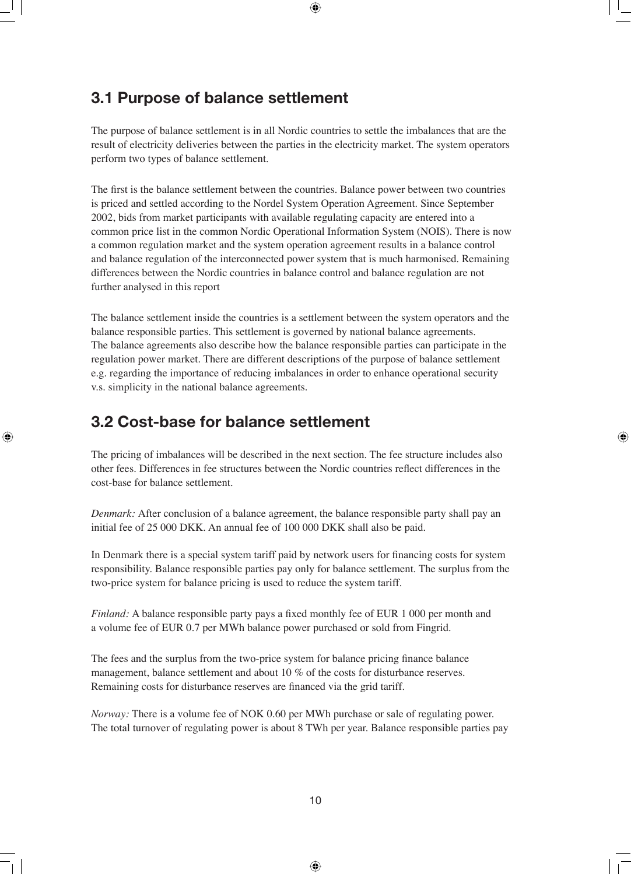## **3.1 Purpose of balance settlement**

The purpose of balance settlement is in all Nordic countries to settle the imbalances that are the result of electricity deliveries between the parties in the electricity market. The system operators perform two types of balance settlement.

The first is the balance settlement between the countries. Balance power between two countries is priced and settled according to the Nordel System Operation Agreement. Since September 2002, bids from market participants with available regulating capacity are entered into a common price list in the common Nordic Operational Information System (NOIS). There is now a common regulation market and the system operation agreement results in a balance control and balance regulation of the interconnected power system that is much harmonised. Remaining differences between the Nordic countries in balance control and balance regulation are not further analysed in this report

The balance settlement inside the countries is a settlement between the system operators and the balance responsible parties. This settlement is governed by national balance agreements. The balance agreements also describe how the balance responsible parties can participate in the regulation power market. There are different descriptions of the purpose of balance settlement e.g. regarding the importance of reducing imbalances in order to enhance operational security v.s. simplicity in the national balance agreements.

## **3.2 Cost-base for balance settlement**

The pricing of imbalances will be described in the next section. The fee structure includes also other fees. Differences in fee structures between the Nordic countries reflect differences in the cost-base for balance settlement.

*Denmark:* After conclusion of a balance agreement, the balance responsible party shall pay an initial fee of 25 000 DKK. An annual fee of 100 000 DKK shall also be paid.

In Denmark there is a special system tariff paid by network users for financing costs for system responsibility. Balance responsible parties pay only for balance settlement. The surplus from the two-price system for balance pricing is used to reduce the system tariff.

*Finland:* A balance responsible party pays a fixed monthly fee of EUR 1 000 per month and a volume fee of EUR 0.7 per MWh balance power purchased or sold from Fingrid.

The fees and the surplus from the two-price system for balance pricing finance balance management, balance settlement and about 10 % of the costs for disturbance reserves. Remaining costs for disturbance reserves are financed via the grid tariff.

*Norway:* There is a volume fee of NOK 0.60 per MWh purchase or sale of regulating power. The total turnover of regulating power is about 8 TWh per year. Balance responsible parties pay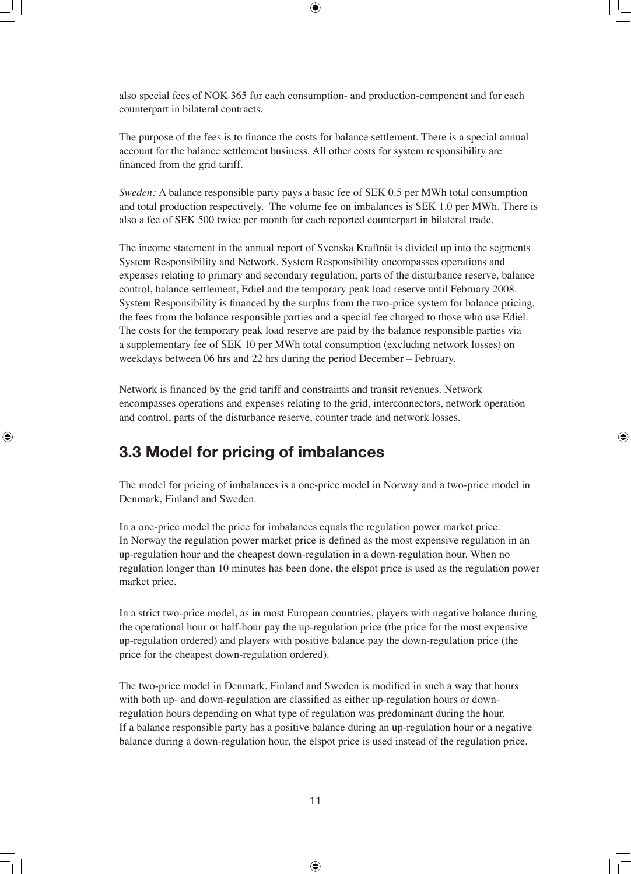also special fees of NOK 365 for each consumption- and production-component and for each counterpart in bilateral contracts.

The purpose of the fees is to finance the costs for balance settlement. There is a special annual account for the balance settlement business. All other costs for system responsibility are financed from the grid tariff.

*Sweden:* A balance responsible party pays a basic fee of SEK 0.5 per MWh total consumption and total production respectively. The volume fee on imbalances is SEK 1.0 per MWh. There is also a fee of SEK 500 twice per month for each reported counterpart in bilateral trade.

The income statement in the annual report of Svenska Kraftnät is divided up into the segments System Responsibility and Network. System Responsibility encompasses operations and expenses relating to primary and secondary regulation, parts of the disturbance reserve, balance control, balance settlement, Ediel and the temporary peak load reserve until February 2008. System Responsibility is financed by the surplus from the two-price system for balance pricing, the fees from the balance responsible parties and a special fee charged to those who use Ediel. The costs for the temporary peak load reserve are paid by the balance responsible parties via a supplementary fee of SEK 10 per MWh total consumption (excluding network losses) on weekdays between 06 hrs and 22 hrs during the period December – February.

Network is financed by the grid tariff and constraints and transit revenues. Network encompasses operations and expenses relating to the grid, interconnectors, network operation and control, parts of the disturbance reserve, counter trade and network losses.

## **3.3 Model for pricing of imbalances**

The model for pricing of imbalances is a one-price model in Norway and a two-price model in Denmark, Finland and Sweden.

In a one-price model the price for imbalances equals the regulation power market price. In Norway the regulation power market price is defined as the most expensive regulation in an up-regulation hour and the cheapest down-regulation in a down-regulation hour. When no regulation longer than 10 minutes has been done, the elspot price is used as the regulation power market price.

In a strict two-price model, as in most European countries, players with negative balance during the operational hour or half-hour pay the up-regulation price (the price for the most expensive up-regulation ordered) and players with positive balance pay the down-regulation price (the price for the cheapest down-regulation ordered).

The two-price model in Denmark, Finland and Sweden is modified in such a way that hours with both up- and down-regulation are classified as either up-regulation hours or downregulation hours depending on what type of regulation was predominant during the hour. If a balance responsible party has a positive balance during an up-regulation hour or a negative balance during a down-regulation hour, the elspot price is used instead of the regulation price.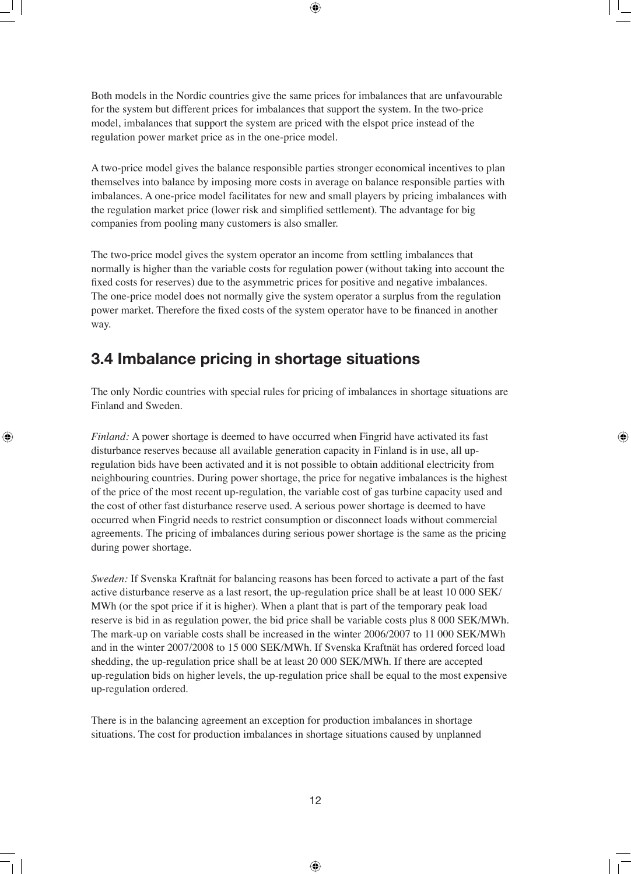Both models in the Nordic countries give the same prices for imbalances that are unfavourable for the system but different prices for imbalances that support the system. In the two-price model, imbalances that support the system are priced with the elspot price instead of the regulation power market price as in the one-price model.

A two-price model gives the balance responsible parties stronger economical incentives to plan themselves into balance by imposing more costs in average on balance responsible parties with imbalances. A one-price model facilitates for new and small players by pricing imbalances with the regulation market price (lower risk and simplified settlement). The advantage for big companies from pooling many customers is also smaller.

The two-price model gives the system operator an income from settling imbalances that normally is higher than the variable costs for regulation power (without taking into account the fixed costs for reserves) due to the asymmetric prices for positive and negative imbalances. The one-price model does not normally give the system operator a surplus from the regulation power market. Therefore the fixed costs of the system operator have to be financed in another way.

## **3.4 Imbalance pricing in shortage situations**

The only Nordic countries with special rules for pricing of imbalances in shortage situations are Finland and Sweden.

*Finland:* A power shortage is deemed to have occurred when Fingrid have activated its fast disturbance reserves because all available generation capacity in Finland is in use, all upregulation bids have been activated and it is not possible to obtain additional electricity from neighbouring countries. During power shortage, the price for negative imbalances is the highest of the price of the most recent up-regulation, the variable cost of gas turbine capacity used and the cost of other fast disturbance reserve used. A serious power shortage is deemed to have occurred when Fingrid needs to restrict consumption or disconnect loads without commercial agreements. The pricing of imbalances during serious power shortage is the same as the pricing during power shortage.

*Sweden:* If Svenska Kraftnät for balancing reasons has been forced to activate a part of the fast active disturbance reserve as a last resort, the up-regulation price shall be at least 10 000 SEK/ MWh (or the spot price if it is higher). When a plant that is part of the temporary peak load reserve is bid in as regulation power, the bid price shall be variable costs plus 8 000 SEK/MWh. The mark-up on variable costs shall be increased in the winter 2006/2007 to 11 000 SEK/MWh and in the winter 2007/2008 to 15 000 SEK/MWh. If Svenska Kraftnät has ordered forced load shedding, the up-regulation price shall be at least 20 000 SEK/MWh. If there are accepted up-regulation bids on higher levels, the up-regulation price shall be equal to the most expensive up-regulation ordered.

There is in the balancing agreement an exception for production imbalances in shortage situations. The cost for production imbalances in shortage situations caused by unplanned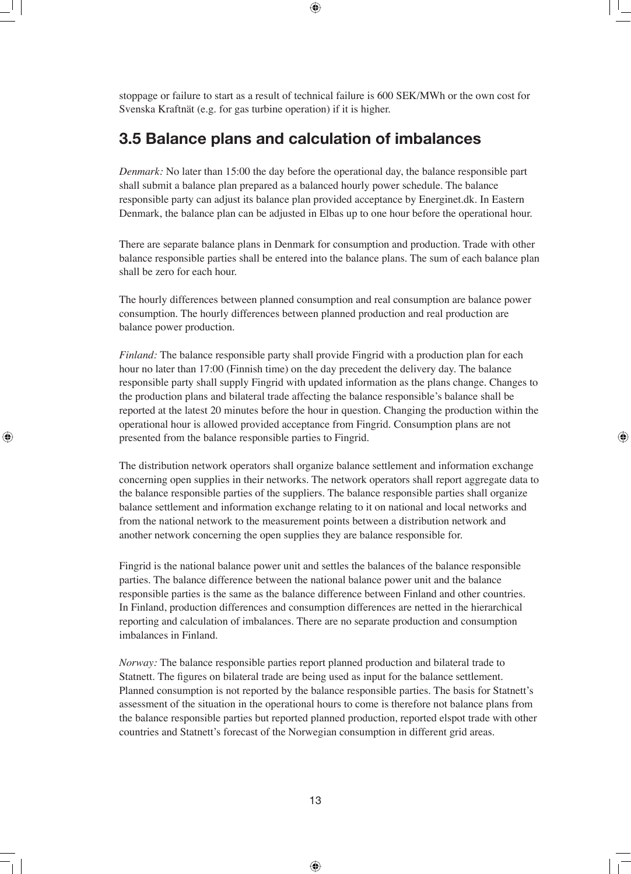stoppage or failure to start as a result of technical failure is 600 SEK/MWh or the own cost for Svenska Kraftnät (e.g. for gas turbine operation) if it is higher.

## **3.5 Balance plans and calculation of imbalances**

*Denmark:* No later than 15:00 the day before the operational day, the balance responsible part shall submit a balance plan prepared as a balanced hourly power schedule. The balance responsible party can adjust its balance plan provided acceptance by Energinet.dk. In Eastern Denmark, the balance plan can be adjusted in Elbas up to one hour before the operational hour.

There are separate balance plans in Denmark for consumption and production. Trade with other balance responsible parties shall be entered into the balance plans. The sum of each balance plan shall be zero for each hour.

The hourly differences between planned consumption and real consumption are balance power consumption. The hourly differences between planned production and real production are balance power production.

*Finland:* The balance responsible party shall provide Fingrid with a production plan for each hour no later than 17:00 (Finnish time) on the day precedent the delivery day. The balance responsible party shall supply Fingrid with updated information as the plans change. Changes to the production plans and bilateral trade affecting the balance responsible's balance shall be reported at the latest 20 minutes before the hour in question. Changing the production within the operational hour is allowed provided acceptance from Fingrid. Consumption plans are not presented from the balance responsible parties to Fingrid.

The distribution network operators shall organize balance settlement and information exchange concerning open supplies in their networks. The network operators shall report aggregate data to the balance responsible parties of the suppliers. The balance responsible parties shall organize balance settlement and information exchange relating to it on national and local networks and from the national network to the measurement points between a distribution network and another network concerning the open supplies they are balance responsible for.

Fingrid is the national balance power unit and settles the balances of the balance responsible parties. The balance difference between the national balance power unit and the balance responsible parties is the same as the balance difference between Finland and other countries. In Finland, production differences and consumption differences are netted in the hierarchical reporting and calculation of imbalances. There are no separate production and consumption imbalances in Finland.

*Norway:* The balance responsible parties report planned production and bilateral trade to Statnett. The figures on bilateral trade are being used as input for the balance settlement. Planned consumption is not reported by the balance responsible parties. The basis for Statnett's assessment of the situation in the operational hours to come is therefore not balance plans from the balance responsible parties but reported planned production, reported elspot trade with other countries and Statnett's forecast of the Norwegian consumption in different grid areas.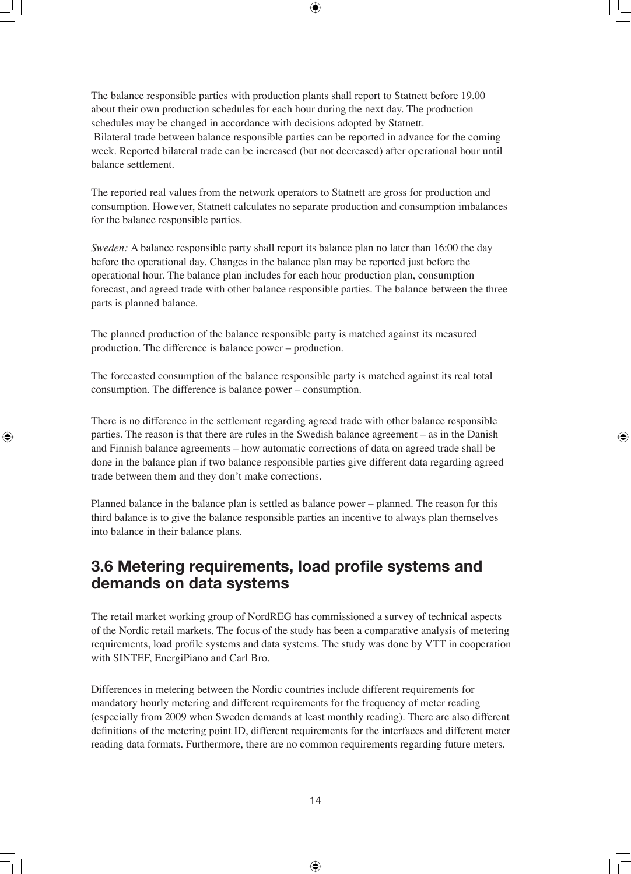The balance responsible parties with production plants shall report to Statnett before 19.00 about their own production schedules for each hour during the next day. The production schedules may be changed in accordance with decisions adopted by Statnett. Bilateral trade between balance responsible parties can be reported in advance for the coming week. Reported bilateral trade can be increased (but not decreased) after operational hour until balance settlement.

The reported real values from the network operators to Statnett are gross for production and consumption. However, Statnett calculates no separate production and consumption imbalances for the balance responsible parties.

*Sweden:* A balance responsible party shall report its balance plan no later than 16:00 the day before the operational day. Changes in the balance plan may be reported just before the operational hour. The balance plan includes for each hour production plan, consumption forecast, and agreed trade with other balance responsible parties. The balance between the three parts is planned balance.

The planned production of the balance responsible party is matched against its measured production. The difference is balance power – production.

The forecasted consumption of the balance responsible party is matched against its real total consumption. The difference is balance power – consumption.

There is no difference in the settlement regarding agreed trade with other balance responsible parties. The reason is that there are rules in the Swedish balance agreement – as in the Danish and Finnish balance agreements – how automatic corrections of data on agreed trade shall be done in the balance plan if two balance responsible parties give different data regarding agreed trade between them and they don't make corrections.

Planned balance in the balance plan is settled as balance power – planned. The reason for this third balance is to give the balance responsible parties an incentive to always plan themselves into balance in their balance plans.

## **3.6 Metering requirements, load profile systems and demands on data systems**

The retail market working group of NordREG has commissioned a survey of technical aspects of the Nordic retail markets. The focus of the study has been a comparative analysis of metering requirements, load profile systems and data systems. The study was done by VTT in cooperation with SINTEF, EnergiPiano and Carl Bro.

Differences in metering between the Nordic countries include different requirements for mandatory hourly metering and different requirements for the frequency of meter reading (especially from 2009 when Sweden demands at least monthly reading). There are also different definitions of the metering point ID, different requirements for the interfaces and different meter reading data formats. Furthermore, there are no common requirements regarding future meters.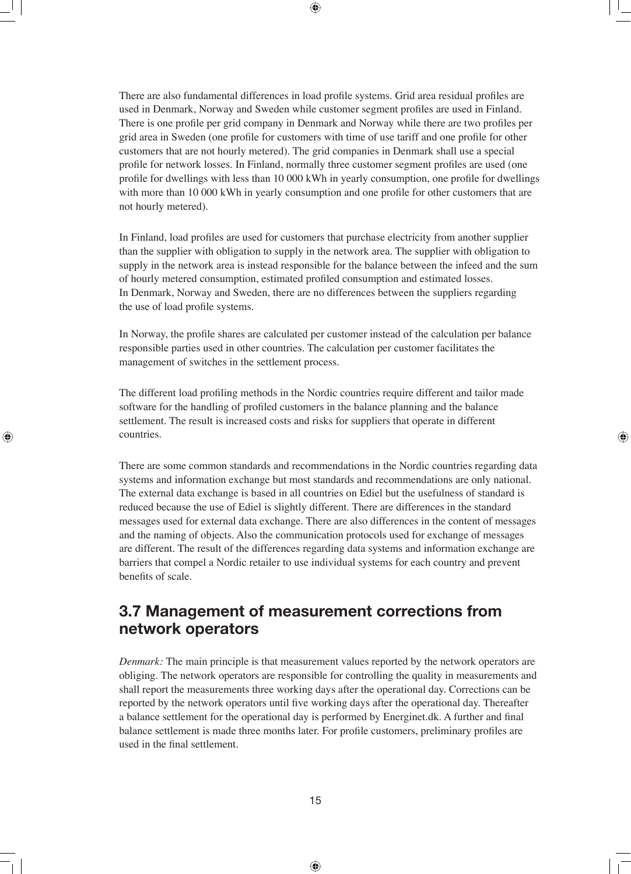There are also fundamental differences in load profile systems. Grid area residual profiles are used in Denmark, Norway and Sweden while customer segment profiles are used in Finland. There is one profile per grid company in Denmark and Norway while there are two profiles per grid area in Sweden (one profile for customers with time of use tariff and one profile for other customers that are not hourly metered). The grid companies in Denmark shall use a special profile for network losses. In Finland, normally three customer segment profiles are used (one profile for dwellings with less than 10 000 kWh in yearly consumption, one profile for dwellings with more than 10 000 kWh in yearly consumption and one profile for other customers that are not hourly metered).

In Finland, load profiles are used for customers that purchase electricity from another supplier than the supplier with obligation to supply in the network area. The supplier with obligation to supply in the network area is instead responsible for the balance between the infeed and the sum of hourly metered consumption, estimated profiled consumption and estimated losses. In Denmark, Norway and Sweden, there are no differences between the suppliers regarding the use of load profile systems.

In Norway, the profile shares are calculated per customer instead of the calculation per balance responsible parties used in other countries. The calculation per customer facilitates the management of switches in the settlement process.

The different load profiling methods in the Nordic countries require different and tailor made software for the handling of profiled customers in the balance planning and the balance settlement. The result is increased costs and risks for suppliers that operate in different countries.

There are some common standards and recommendations in the Nordic countries regarding data systems and information exchange but most standards and recommendations are only national. The external data exchange is based in all countries on Ediel but the usefulness of standard is reduced because the use of Ediel is slightly different. There are differences in the standard messages used for external data exchange. There are also differences in the content of messages and the naming of objects. Also the communication protocols used for exchange of messages are different. The result of the differences regarding data systems and information exchange are barriers that compel a Nordic retailer to use individual systems for each country and prevent benefits of scale.

### **3.7 Management of measurement corrections from network operators**

*Denmark:* The main principle is that measurement values reported by the network operators are obliging. The network operators are responsible for controlling the quality in measurements and shall report the measurements three working days after the operational day. Corrections can be reported by the network operators until five working days after the operational day. Thereafter a balance settlement for the operational day is performed by Energinet.dk. A further and final balance settlement is made three months later. For profile customers, preliminary profiles are used in the final settlement.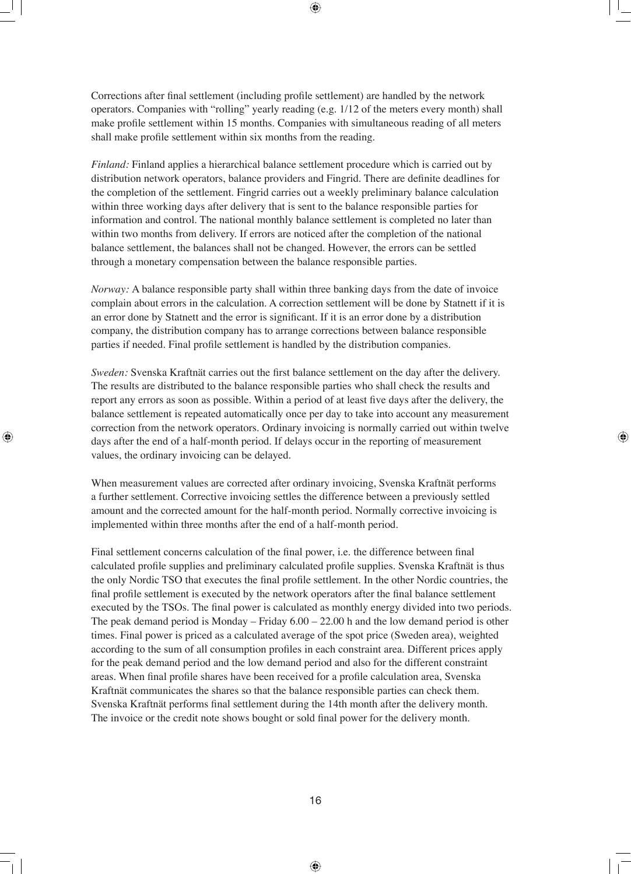Corrections after final settlement (including profile settlement) are handled by the network operators. Companies with "rolling" yearly reading (e.g. 1/12 of the meters every month) shall make profile settlement within 15 months. Companies with simultaneous reading of all meters shall make profile settlement within six months from the reading.

*Finland:* Finland applies a hierarchical balance settlement procedure which is carried out by distribution network operators, balance providers and Fingrid. There are definite deadlines for the completion of the settlement. Fingrid carries out a weekly preliminary balance calculation within three working days after delivery that is sent to the balance responsible parties for information and control. The national monthly balance settlement is completed no later than within two months from delivery. If errors are noticed after the completion of the national balance settlement, the balances shall not be changed. However, the errors can be settled through a monetary compensation between the balance responsible parties.

*Norway:* A balance responsible party shall within three banking days from the date of invoice complain about errors in the calculation. A correction settlement will be done by Statnett if it is an error done by Statnett and the error is significant. If it is an error done by a distribution company, the distribution company has to arrange corrections between balance responsible parties if needed. Final profile settlement is handled by the distribution companies.

*Sweden:* Svenska Kraftnät carries out the first balance settlement on the day after the delivery. The results are distributed to the balance responsible parties who shall check the results and report any errors as soon as possible. Within a period of at least five days after the delivery, the balance settlement is repeated automatically once per day to take into account any measurement correction from the network operators. Ordinary invoicing is normally carried out within twelve days after the end of a half-month period. If delays occur in the reporting of measurement values, the ordinary invoicing can be delayed.

When measurement values are corrected after ordinary invoicing, Svenska Kraftnät performs a further settlement. Corrective invoicing settles the difference between a previously settled amount and the corrected amount for the half-month period. Normally corrective invoicing is implemented within three months after the end of a half-month period.

Final settlement concerns calculation of the final power, i.e. the difference between final calculated profile supplies and preliminary calculated profile supplies. Svenska Kraftnät is thus the only Nordic TSO that executes the final profile settlement. In the other Nordic countries, the final profile settlement is executed by the network operators after the final balance settlement executed by the TSOs. The final power is calculated as monthly energy divided into two periods. The peak demand period is Monday – Friday 6.00 – 22.00 h and the low demand period is other times. Final power is priced as a calculated average of the spot price (Sweden area), weighted according to the sum of all consumption profiles in each constraint area. Different prices apply for the peak demand period and the low demand period and also for the different constraint areas. When final profile shares have been received for a profile calculation area, Svenska Kraftnät communicates the shares so that the balance responsible parties can check them. Svenska Kraftnät performs final settlement during the 14th month after the delivery month. The invoice or the credit note shows bought or sold final power for the delivery month.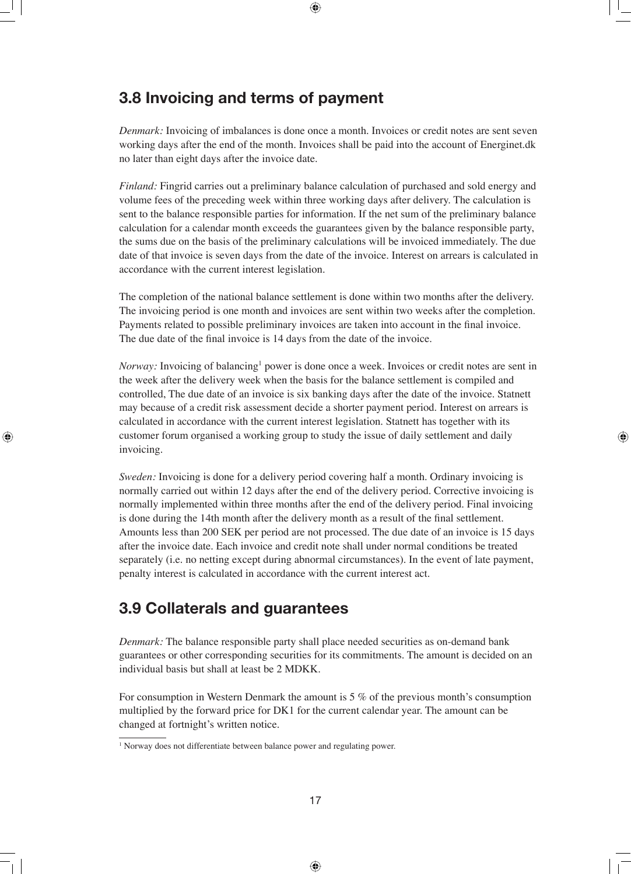## **3.8 Invoicing and terms of payment**

*Denmark:* Invoicing of imbalances is done once a month. Invoices or credit notes are sent seven working days after the end of the month. Invoices shall be paid into the account of Energinet.dk no later than eight days after the invoice date.

*Finland:* Fingrid carries out a preliminary balance calculation of purchased and sold energy and volume fees of the preceding week within three working days after delivery. The calculation is sent to the balance responsible parties for information. If the net sum of the preliminary balance calculation for a calendar month exceeds the guarantees given by the balance responsible party, the sums due on the basis of the preliminary calculations will be invoiced immediately. The due date of that invoice is seven days from the date of the invoice. Interest on arrears is calculated in accordance with the current interest legislation.

The completion of the national balance settlement is done within two months after the delivery. The invoicing period is one month and invoices are sent within two weeks after the completion. Payments related to possible preliminary invoices are taken into account in the final invoice. The due date of the final invoice is 14 days from the date of the invoice.

*Norway:* Invoicing of balancing<sup>1</sup> power is done once a week. Invoices or credit notes are sent in the week after the delivery week when the basis for the balance settlement is compiled and controlled, The due date of an invoice is six banking days after the date of the invoice. Statnett may because of a credit risk assessment decide a shorter payment period. Interest on arrears is calculated in accordance with the current interest legislation. Statnett has together with its customer forum organised a working group to study the issue of daily settlement and daily invoicing.

*Sweden:* Invoicing is done for a delivery period covering half a month. Ordinary invoicing is normally carried out within 12 days after the end of the delivery period. Corrective invoicing is normally implemented within three months after the end of the delivery period. Final invoicing is done during the 14th month after the delivery month as a result of the final settlement. Amounts less than 200 SEK per period are not processed. The due date of an invoice is 15 days after the invoice date. Each invoice and credit note shall under normal conditions be treated separately (i.e. no netting except during abnormal circumstances). In the event of late payment, penalty interest is calculated in accordance with the current interest act.

## **3.9 Collaterals and guarantees**

*Denmark:* The balance responsible party shall place needed securities as on-demand bank guarantees or other corresponding securities for its commitments. The amount is decided on an individual basis but shall at least be 2 MDKK.

For consumption in Western Denmark the amount is 5 % of the previous month's consumption multiplied by the forward price for DK1 for the current calendar year. The amount can be changed at fortnight's written notice.

<sup>&</sup>lt;sup>1</sup> Norway does not differentiate between balance power and regulating power.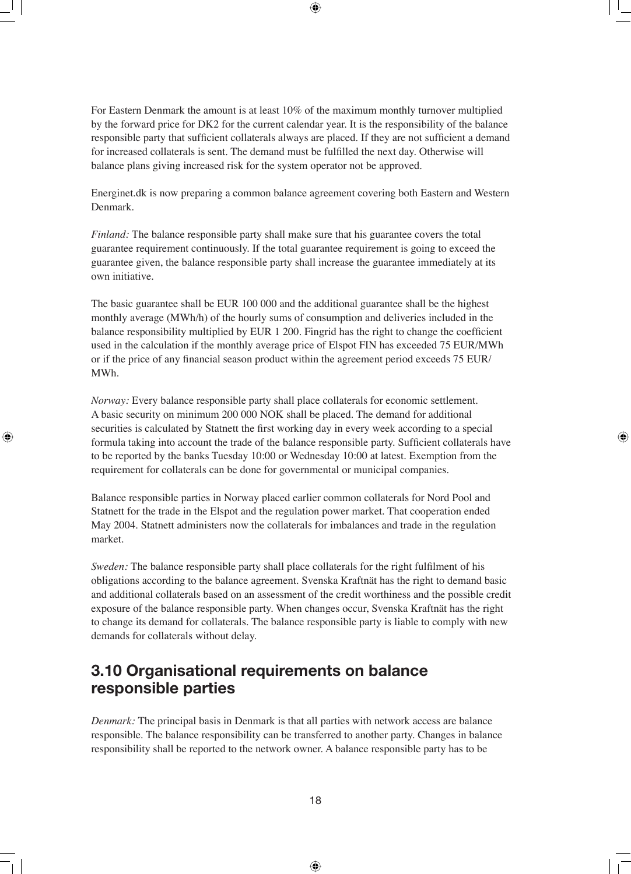For Eastern Denmark the amount is at least 10% of the maximum monthly turnover multiplied by the forward price for DK2 for the current calendar year. It is the responsibility of the balance responsible party that sufficient collaterals always are placed. If they are not sufficient a demand for increased collaterals is sent. The demand must be fulfilled the next day. Otherwise will balance plans giving increased risk for the system operator not be approved.

Energinet.dk is now preparing a common balance agreement covering both Eastern and Western Denmark.

*Finland:* The balance responsible party shall make sure that his guarantee covers the total guarantee requirement continuously. If the total guarantee requirement is going to exceed the guarantee given, the balance responsible party shall increase the guarantee immediately at its own initiative.

The basic guarantee shall be EUR 100 000 and the additional guarantee shall be the highest monthly average (MWh/h) of the hourly sums of consumption and deliveries included in the balance responsibility multiplied by EUR 1 200. Fingrid has the right to change the coefficient used in the calculation if the monthly average price of Elspot FIN has exceeded 75 EUR/MWh or if the price of any financial season product within the agreement period exceeds 75 EUR/ MWh.

*Norway:* Every balance responsible party shall place collaterals for economic settlement. A basic security on minimum 200 000 NOK shall be placed. The demand for additional securities is calculated by Statnett the first working day in every week according to a special formula taking into account the trade of the balance responsible party. Sufficient collaterals have to be reported by the banks Tuesday 10:00 or Wednesday 10:00 at latest. Exemption from the requirement for collaterals can be done for governmental or municipal companies.

Balance responsible parties in Norway placed earlier common collaterals for Nord Pool and Statnett for the trade in the Elspot and the regulation power market. That cooperation ended May 2004. Statnett administers now the collaterals for imbalances and trade in the regulation market.

*Sweden:* The balance responsible party shall place collaterals for the right fulfilment of his obligations according to the balance agreement. Svenska Kraftnät has the right to demand basic and additional collaterals based on an assessment of the credit worthiness and the possible credit exposure of the balance responsible party. When changes occur, Svenska Kraftnät has the right to change its demand for collaterals. The balance responsible party is liable to comply with new demands for collaterals without delay.

## **3.10 Organisational requirements on balance responsible parties**

*Denmark:* The principal basis in Denmark is that all parties with network access are balance responsible. The balance responsibility can be transferred to another party. Changes in balance responsibility shall be reported to the network owner. A balance responsible party has to be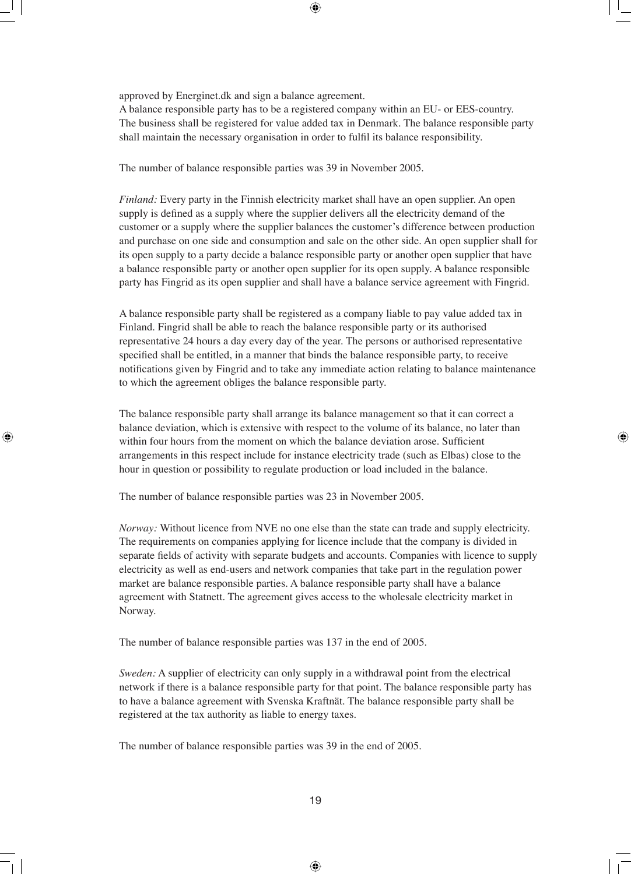approved by Energinet.dk and sign a balance agreement.

A balance responsible party has to be a registered company within an EU- or EES-country. The business shall be registered for value added tax in Denmark. The balance responsible party shall maintain the necessary organisation in order to fulfil its balance responsibility.

The number of balance responsible parties was 39 in November 2005.

*Finland:* Every party in the Finnish electricity market shall have an open supplier. An open supply is defined as a supply where the supplier delivers all the electricity demand of the customer or a supply where the supplier balances the customer's difference between production and purchase on one side and consumption and sale on the other side. An open supplier shall for its open supply to a party decide a balance responsible party or another open supplier that have a balance responsible party or another open supplier for its open supply. A balance responsible party has Fingrid as its open supplier and shall have a balance service agreement with Fingrid.

A balance responsible party shall be registered as a company liable to pay value added tax in Finland. Fingrid shall be able to reach the balance responsible party or its authorised representative 24 hours a day every day of the year. The persons or authorised representative specified shall be entitled, in a manner that binds the balance responsible party, to receive notifications given by Fingrid and to take any immediate action relating to balance maintenance to which the agreement obliges the balance responsible party.

The balance responsible party shall arrange its balance management so that it can correct a balance deviation, which is extensive with respect to the volume of its balance, no later than within four hours from the moment on which the balance deviation arose. Sufficient arrangements in this respect include for instance electricity trade (such as Elbas) close to the hour in question or possibility to regulate production or load included in the balance.

The number of balance responsible parties was 23 in November 2005.

*Norway:* Without licence from NVE no one else than the state can trade and supply electricity. The requirements on companies applying for licence include that the company is divided in separate fields of activity with separate budgets and accounts. Companies with licence to supply electricity as well as end-users and network companies that take part in the regulation power market are balance responsible parties. A balance responsible party shall have a balance agreement with Statnett. The agreement gives access to the wholesale electricity market in Norway.

The number of balance responsible parties was 137 in the end of 2005.

*Sweden:* A supplier of electricity can only supply in a withdrawal point from the electrical network if there is a balance responsible party for that point. The balance responsible party has to have a balance agreement with Svenska Kraftnät. The balance responsible party shall be registered at the tax authority as liable to energy taxes.

The number of balance responsible parties was 39 in the end of 2005.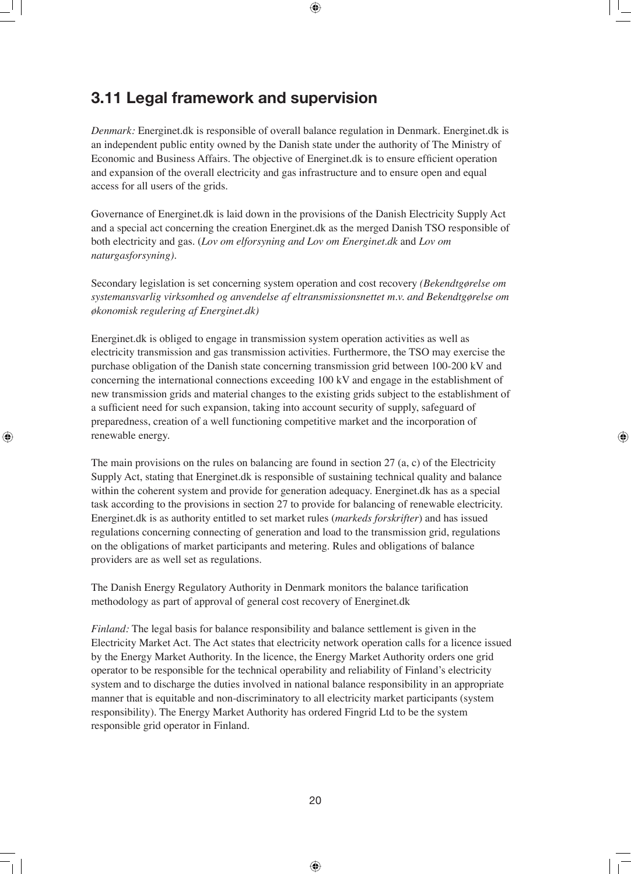## **3.11 Legal framework and supervision**

*Denmark:* Energinet.dk is responsible of overall balance regulation in Denmark. Energinet.dk is an independent public entity owned by the Danish state under the authority of The Ministry of Economic and Business Affairs. The objective of Energinet.dk is to ensure efficient operation and expansion of the overall electricity and gas infrastructure and to ensure open and equal access for all users of the grids.

Governance of Energinet.dk is laid down in the provisions of the Danish Electricity Supply Act and a special act concerning the creation Energinet.dk as the merged Danish TSO responsible of both electricity and gas. (*Lov om elforsyning and Lov om Energinet.dk* and *Lov om naturgasforsyning).* 

Secondary legislation is set concerning system operation and cost recovery *(Bekendtgørelse om systemansvarlig virksomhed og anvendelse af eltransmissionsnettet m.v. and Bekendtgørelse om økonomisk regulering af Energinet.dk)* 

Energinet.dk is obliged to engage in transmission system operation activities as well as electricity transmission and gas transmission activities. Furthermore, the TSO may exercise the purchase obligation of the Danish state concerning transmission grid between 100-200 kV and concerning the international connections exceeding 100 kV and engage in the establishment of new transmission grids and material changes to the existing grids subject to the establishment of a sufficient need for such expansion, taking into account security of supply, safeguard of preparedness, creation of a well functioning competitive market and the incorporation of renewable energy.

The main provisions on the rules on balancing are found in section 27 (a, c) of the Electricity Supply Act, stating that Energinet.dk is responsible of sustaining technical quality and balance within the coherent system and provide for generation adequacy. Energinet.dk has as a special task according to the provisions in section 27 to provide for balancing of renewable electricity. Energinet.dk is as authority entitled to set market rules (*markeds forskrifter*) and has issued regulations concerning connecting of generation and load to the transmission grid, regulations on the obligations of market participants and metering. Rules and obligations of balance providers are as well set as regulations.

The Danish Energy Regulatory Authority in Denmark monitors the balance tarification methodology as part of approval of general cost recovery of Energinet.dk

*Finland:* The legal basis for balance responsibility and balance settlement is given in the Electricity Market Act. The Act states that electricity network operation calls for a licence issued by the Energy Market Authority. In the licence, the Energy Market Authority orders one grid operator to be responsible for the technical operability and reliability of Finland's electricity system and to discharge the duties involved in national balance responsibility in an appropriate manner that is equitable and non-discriminatory to all electricity market participants (system responsibility). The Energy Market Authority has ordered Fingrid Ltd to be the system responsible grid operator in Finland.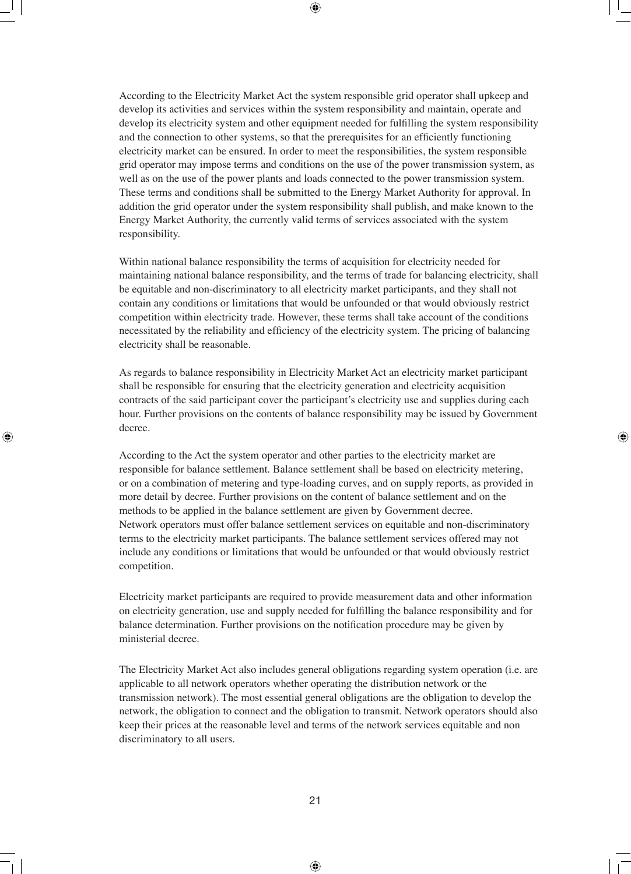According to the Electricity Market Act the system responsible grid operator shall upkeep and develop its activities and services within the system responsibility and maintain, operate and develop its electricity system and other equipment needed for fulfilling the system responsibility and the connection to other systems, so that the prerequisites for an efficiently functioning electricity market can be ensured. In order to meet the responsibilities, the system responsible grid operator may impose terms and conditions on the use of the power transmission system, as well as on the use of the power plants and loads connected to the power transmission system. These terms and conditions shall be submitted to the Energy Market Authority for approval. In addition the grid operator under the system responsibility shall publish, and make known to the Energy Market Authority, the currently valid terms of services associated with the system responsibility.

Within national balance responsibility the terms of acquisition for electricity needed for maintaining national balance responsibility, and the terms of trade for balancing electricity, shall be equitable and non-discriminatory to all electricity market participants, and they shall not contain any conditions or limitations that would be unfounded or that would obviously restrict competition within electricity trade. However, these terms shall take account of the conditions necessitated by the reliability and efficiency of the electricity system. The pricing of balancing electricity shall be reasonable.

As regards to balance responsibility in Electricity Market Act an electricity market participant shall be responsible for ensuring that the electricity generation and electricity acquisition contracts of the said participant cover the participant's electricity use and supplies during each hour. Further provisions on the contents of balance responsibility may be issued by Government decree.

According to the Act the system operator and other parties to the electricity market are responsible for balance settlement. Balance settlement shall be based on electricity metering, or on a combination of metering and type-loading curves, and on supply reports, as provided in more detail by decree. Further provisions on the content of balance settlement and on the methods to be applied in the balance settlement are given by Government decree. Network operators must offer balance settlement services on equitable and non-discriminatory terms to the electricity market participants. The balance settlement services offered may not include any conditions or limitations that would be unfounded or that would obviously restrict competition.

Electricity market participants are required to provide measurement data and other information on electricity generation, use and supply needed for fulfilling the balance responsibility and for balance determination. Further provisions on the notification procedure may be given by ministerial decree.

The Electricity Market Act also includes general obligations regarding system operation (i.e. are applicable to all network operators whether operating the distribution network or the transmission network). The most essential general obligations are the obligation to develop the network, the obligation to connect and the obligation to transmit. Network operators should also keep their prices at the reasonable level and terms of the network services equitable and non discriminatory to all users.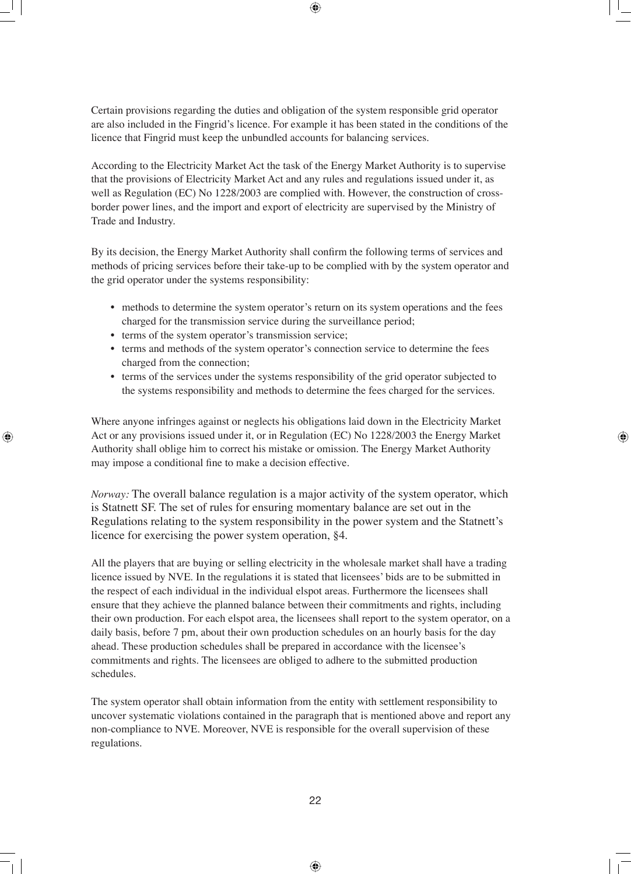Certain provisions regarding the duties and obligation of the system responsible grid operator are also included in the Fingrid's licence. For example it has been stated in the conditions of the licence that Fingrid must keep the unbundled accounts for balancing services.

According to the Electricity Market Act the task of the Energy Market Authority is to supervise that the provisions of Electricity Market Act and any rules and regulations issued under it, as well as Regulation (EC) No 1228/2003 are complied with. However, the construction of crossborder power lines, and the import and export of electricity are supervised by the Ministry of Trade and Industry.

By its decision, the Energy Market Authority shall confirm the following terms of services and methods of pricing services before their take-up to be complied with by the system operator and the grid operator under the systems responsibility:

- methods to determine the system operator's return on its system operations and the fees charged for the transmission service during the surveillance period;
- terms of the system operator's transmission service;
- terms and methods of the system operator's connection service to determine the fees charged from the connection;
- terms of the services under the systems responsibility of the grid operator subjected to the systems responsibility and methods to determine the fees charged for the services.

Where anyone infringes against or neglects his obligations laid down in the Electricity Market Act or any provisions issued under it, or in Regulation (EC) No 1228/2003 the Energy Market Authority shall oblige him to correct his mistake or omission. The Energy Market Authority may impose a conditional fine to make a decision effective.

*Norway:* The overall balance regulation is a major activity of the system operator, which is Statnett SF. The set of rules for ensuring momentary balance are set out in the Regulations relating to the system responsibility in the power system and the Statnett's licence for exercising the power system operation, §4.

All the players that are buying or selling electricity in the wholesale market shall have a trading licence issued by NVE. In the regulations it is stated that licensees' bids are to be submitted in the respect of each individual in the individual elspot areas. Furthermore the licensees shall ensure that they achieve the planned balance between their commitments and rights, including their own production. For each elspot area, the licensees shall report to the system operator, on a daily basis, before 7 pm, about their own production schedules on an hourly basis for the day ahead. These production schedules shall be prepared in accordance with the licensee's commitments and rights. The licensees are obliged to adhere to the submitted production schedules.

The system operator shall obtain information from the entity with settlement responsibility to uncover systematic violations contained in the paragraph that is mentioned above and report any non-compliance to NVE. Moreover, NVE is responsible for the overall supervision of these regulations.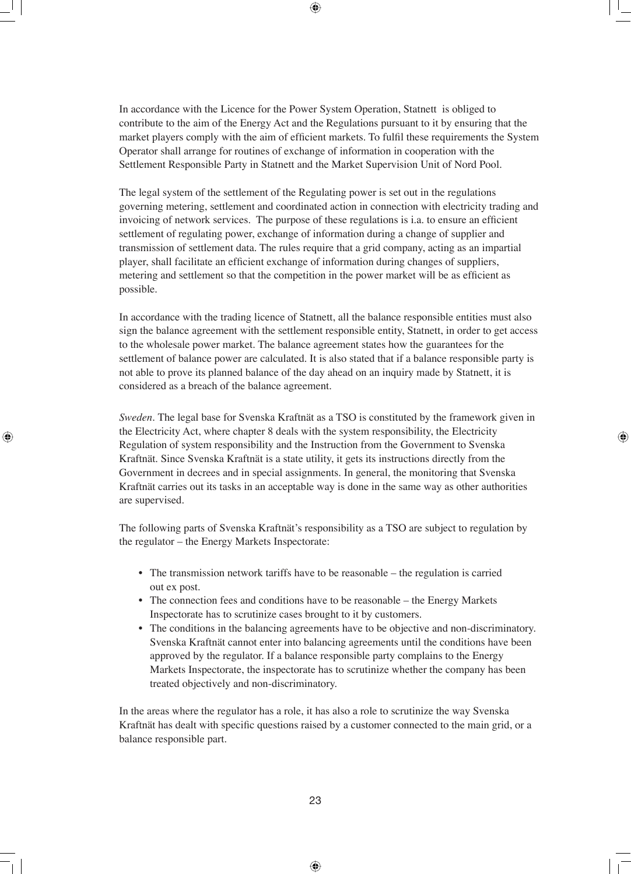In accordance with the Licence for the Power System Operation, Statnett is obliged to contribute to the aim of the Energy Act and the Regulations pursuant to it by ensuring that the market players comply with the aim of efficient markets. To fulfil these requirements the System Operator shall arrange for routines of exchange of information in cooperation with the Settlement Responsible Party in Statnett and the Market Supervision Unit of Nord Pool.

The legal system of the settlement of the Regulating power is set out in the regulations governing metering, settlement and coordinated action in connection with electricity trading and invoicing of network services. The purpose of these regulations is i.a. to ensure an efficient settlement of regulating power, exchange of information during a change of supplier and transmission of settlement data. The rules require that a grid company, acting as an impartial player, shall facilitate an efficient exchange of information during changes of suppliers, metering and settlement so that the competition in the power market will be as efficient as possible.

In accordance with the trading licence of Statnett, all the balance responsible entities must also sign the balance agreement with the settlement responsible entity, Statnett, in order to get access to the wholesale power market. The balance agreement states how the guarantees for the settlement of balance power are calculated. It is also stated that if a balance responsible party is not able to prove its planned balance of the day ahead on an inquiry made by Statnett, it is considered as a breach of the balance agreement.

*Sweden.* The legal base for Svenska Kraftnät as a TSO is constituted by the framework given in the Electricity Act, where chapter 8 deals with the system responsibility, the Electricity Regulation of system responsibility and the Instruction from the Government to Svenska Kraftnät. Since Svenska Kraftnät is a state utility, it gets its instructions directly from the Government in decrees and in special assignments. In general, the monitoring that Svenska Kraftnät carries out its tasks in an acceptable way is done in the same way as other authorities are supervised.

The following parts of Svenska Kraftnät's responsibility as a TSO are subject to regulation by the regulator – the Energy Markets Inspectorate:

- The transmission network tariffs have to be reasonable the regulation is carried out ex post.
- The connection fees and conditions have to be reasonable the Energy Markets Inspectorate has to scrutinize cases brought to it by customers.
- The conditions in the balancing agreements have to be objective and non-discriminatory. Svenska Kraftnät cannot enter into balancing agreements until the conditions have been approved by the regulator. If a balance responsible party complains to the Energy Markets Inspectorate, the inspectorate has to scrutinize whether the company has been treated objectively and non-discriminatory.

In the areas where the regulator has a role, it has also a role to scrutinize the way Svenska Kraftnät has dealt with specific questions raised by a customer connected to the main grid, or a balance responsible part.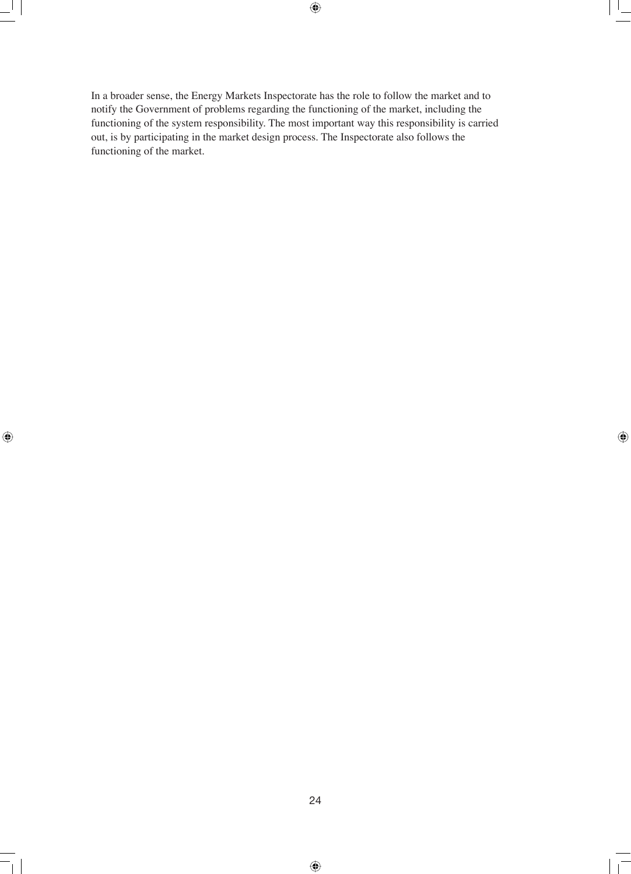In a broader sense, the Energy Markets Inspectorate has the role to follow the market and to notify the Government of problems regarding the functioning of the market, including the functioning of the system responsibility. The most important way this responsibility is carried out, is by participating in the market design process. The Inspectorate also follows the functioning of the market.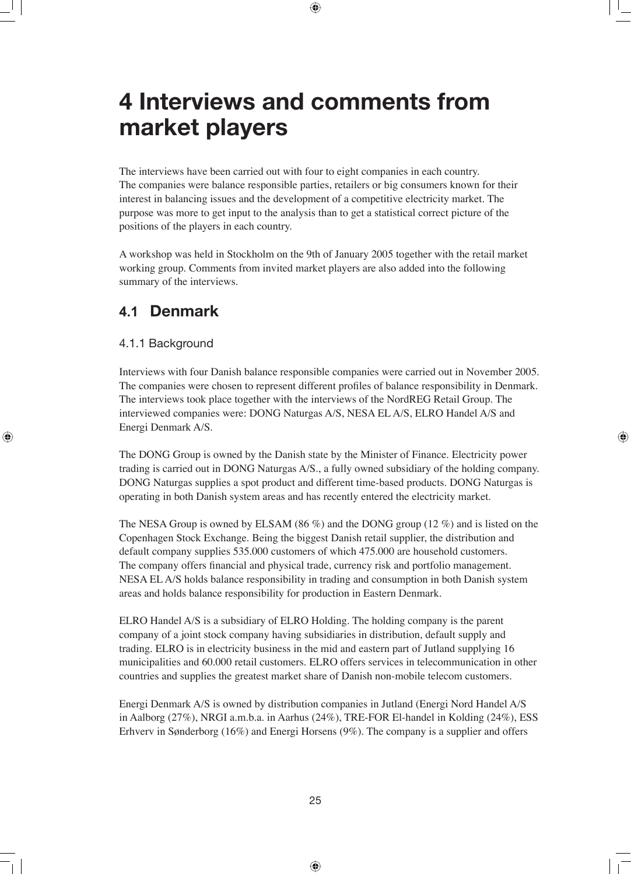## **4 Interviews and comments from market players**

The interviews have been carried out with four to eight companies in each country. The companies were balance responsible parties, retailers or big consumers known for their interest in balancing issues and the development of a competitive electricity market. The purpose was more to get input to the analysis than to get a statistical correct picture of the positions of the players in each country.

A workshop was held in Stockholm on the 9th of January 2005 together with the retail market working group. Comments from invited market players are also added into the following summary of the interviews.

## **4.1 Denmark**

#### 4.1.1 Background

Interviews with four Danish balance responsible companies were carried out in November 2005. The companies were chosen to represent different profiles of balance responsibility in Denmark. The interviews took place together with the interviews of the NordREG Retail Group. The interviewed companies were: DONG Naturgas A/S, NESA EL A/S, ELRO Handel A/S and Energi Denmark A/S.

The DONG Group is owned by the Danish state by the Minister of Finance. Electricity power trading is carried out in DONG Naturgas A/S., a fully owned subsidiary of the holding company. DONG Naturgas supplies a spot product and different time-based products. DONG Naturgas is operating in both Danish system areas and has recently entered the electricity market.

The NESA Group is owned by ELSAM (86  $\%$ ) and the DONG group (12  $\%$ ) and is listed on the Copenhagen Stock Exchange. Being the biggest Danish retail supplier, the distribution and default company supplies 535.000 customers of which 475.000 are household customers. The company offers financial and physical trade, currency risk and portfolio management. NESA EL A/S holds balance responsibility in trading and consumption in both Danish system areas and holds balance responsibility for production in Eastern Denmark.

ELRO Handel A/S is a subsidiary of ELRO Holding. The holding company is the parent company of a joint stock company having subsidiaries in distribution, default supply and trading. ELRO is in electricity business in the mid and eastern part of Jutland supplying 16 municipalities and 60.000 retail customers. ELRO offers services in telecommunication in other countries and supplies the greatest market share of Danish non-mobile telecom customers.

Energi Denmark A/S is owned by distribution companies in Jutland (Energi Nord Handel A/S in Aalborg (27%), NRGI a.m.b.a. in Aarhus (24%), TRE-FOR El-handel in Kolding (24%), ESS Erhverv in Sønderborg (16%) and Energi Horsens (9%). The company is a supplier and offers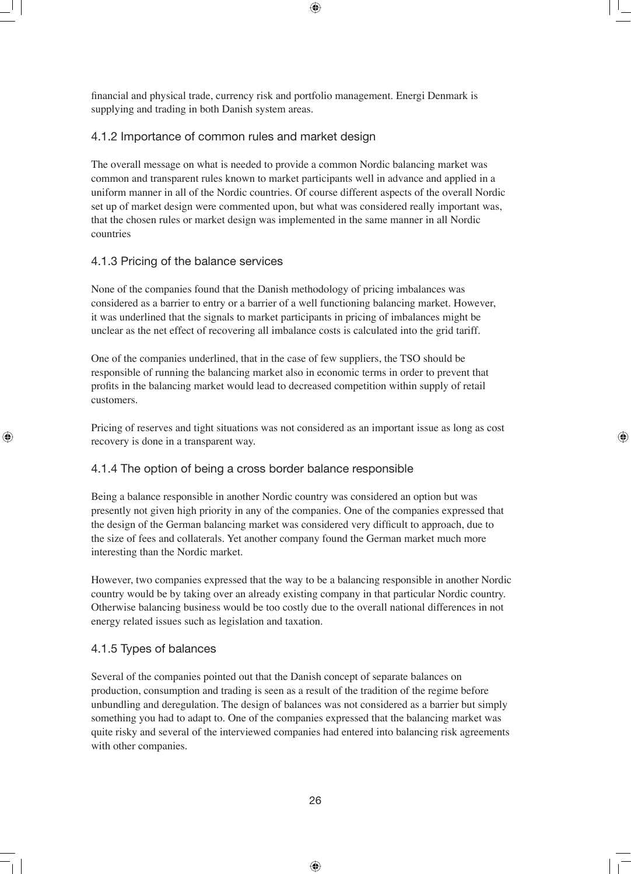financial and physical trade, currency risk and portfolio management. Energi Denmark is supplying and trading in both Danish system areas.

#### 4.1.2 Importance of common rules and market design

The overall message on what is needed to provide a common Nordic balancing market was common and transparent rules known to market participants well in advance and applied in a uniform manner in all of the Nordic countries. Of course different aspects of the overall Nordic set up of market design were commented upon, but what was considered really important was, that the chosen rules or market design was implemented in the same manner in all Nordic countries

#### 4.1.3 Pricing of the balance services

None of the companies found that the Danish methodology of pricing imbalances was considered as a barrier to entry or a barrier of a well functioning balancing market. However, it was underlined that the signals to market participants in pricing of imbalances might be unclear as the net effect of recovering all imbalance costs is calculated into the grid tariff.

One of the companies underlined, that in the case of few suppliers, the TSO should be responsible of running the balancing market also in economic terms in order to prevent that profits in the balancing market would lead to decreased competition within supply of retail customers.

Pricing of reserves and tight situations was not considered as an important issue as long as cost recovery is done in a transparent way.

#### 4.1.4 The option of being a cross border balance responsible

Being a balance responsible in another Nordic country was considered an option but was presently not given high priority in any of the companies. One of the companies expressed that the design of the German balancing market was considered very difficult to approach, due to the size of fees and collaterals. Yet another company found the German market much more interesting than the Nordic market.

However, two companies expressed that the way to be a balancing responsible in another Nordic country would be by taking over an already existing company in that particular Nordic country. Otherwise balancing business would be too costly due to the overall national differences in not energy related issues such as legislation and taxation.

#### 4.1.5 Types of balances

Several of the companies pointed out that the Danish concept of separate balances on production, consumption and trading is seen as a result of the tradition of the regime before unbundling and deregulation. The design of balances was not considered as a barrier but simply something you had to adapt to. One of the companies expressed that the balancing market was quite risky and several of the interviewed companies had entered into balancing risk agreements with other companies.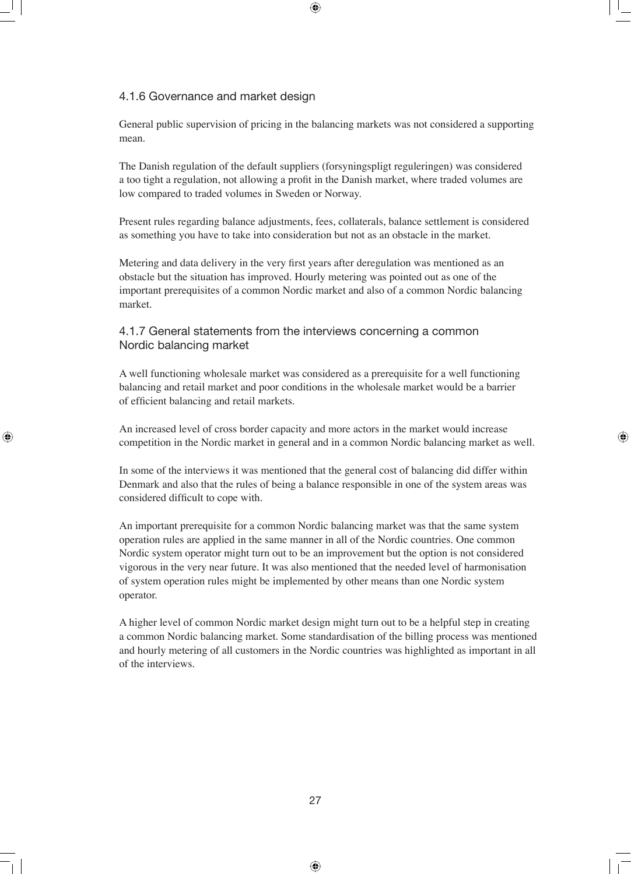#### 4.1.6 Governance and market design

General public supervision of pricing in the balancing markets was not considered a supporting mean.

The Danish regulation of the default suppliers (forsyningspligt reguleringen) was considered a too tight a regulation, not allowing a profit in the Danish market, where traded volumes are low compared to traded volumes in Sweden or Norway.

Present rules regarding balance adjustments, fees, collaterals, balance settlement is considered as something you have to take into consideration but not as an obstacle in the market.

Metering and data delivery in the very first years after deregulation was mentioned as an obstacle but the situation has improved. Hourly metering was pointed out as one of the important prerequisites of a common Nordic market and also of a common Nordic balancing market.

#### 4.1.7 General statements from the interviews concerning a common Nordic balancing market

A well functioning wholesale market was considered as a prerequisite for a well functioning balancing and retail market and poor conditions in the wholesale market would be a barrier of efficient balancing and retail markets.

An increased level of cross border capacity and more actors in the market would increase competition in the Nordic market in general and in a common Nordic balancing market as well.

In some of the interviews it was mentioned that the general cost of balancing did differ within Denmark and also that the rules of being a balance responsible in one of the system areas was considered difficult to cope with.

An important prerequisite for a common Nordic balancing market was that the same system operation rules are applied in the same manner in all of the Nordic countries. One common Nordic system operator might turn out to be an improvement but the option is not considered vigorous in the very near future. It was also mentioned that the needed level of harmonisation of system operation rules might be implemented by other means than one Nordic system operator.

A higher level of common Nordic market design might turn out to be a helpful step in creating a common Nordic balancing market. Some standardisation of the billing process was mentioned and hourly metering of all customers in the Nordic countries was highlighted as important in all of the interviews.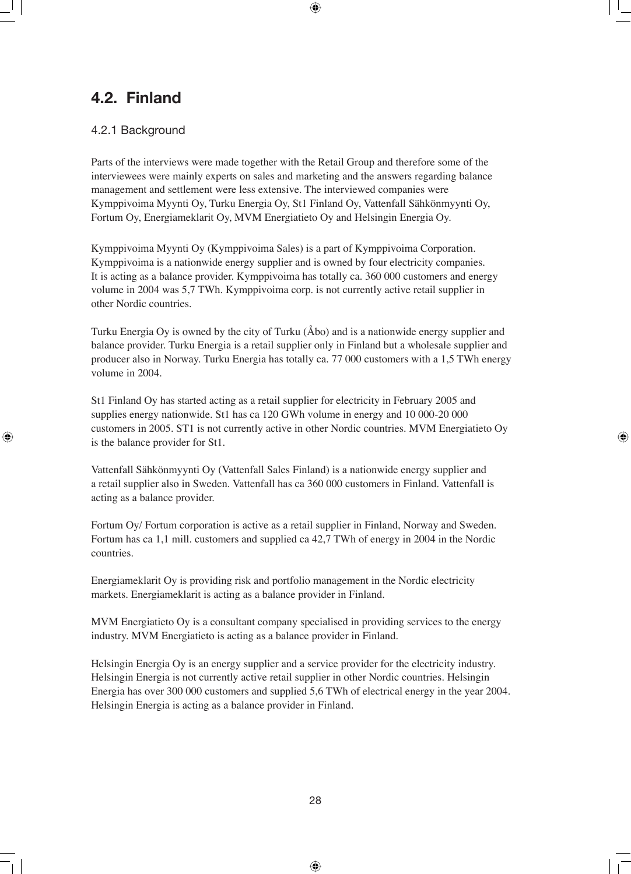## **4.2. Finland**

#### 4.2.1 Background

Parts of the interviews were made together with the Retail Group and therefore some of the interviewees were mainly experts on sales and marketing and the answers regarding balance management and settlement were less extensive. The interviewed companies were Kymppivoima Myynti Oy, Turku Energia Oy, St1 Finland Oy, Vattenfall Sähkönmyynti Oy, Fortum Oy, Energiameklarit Oy, MVM Energiatieto Oy and Helsingin Energia Oy.

Kymppivoima Myynti Oy (Kymppivoima Sales) is a part of Kymppivoima Corporation. Kymppivoima is a nationwide energy supplier and is owned by four electricity companies. It is acting as a balance provider. Kymppivoima has totally ca. 360 000 customers and energy volume in 2004 was 5,7 TWh. Kymppivoima corp. is not currently active retail supplier in other Nordic countries.

Turku Energia Oy is owned by the city of Turku (Åbo) and is a nationwide energy supplier and balance provider. Turku Energia is a retail supplier only in Finland but a wholesale supplier and producer also in Norway. Turku Energia has totally ca. 77 000 customers with a 1,5 TWh energy volume in 2004.

St1 Finland Oy has started acting as a retail supplier for electricity in February 2005 and supplies energy nationwide. St1 has ca 120 GWh volume in energy and 10 000-20 000 customers in 2005. ST1 is not currently active in other Nordic countries. MVM Energiatieto Oy is the balance provider for St1.

Vattenfall Sähkönmyynti Oy (Vattenfall Sales Finland) is a nationwide energy supplier and a retail supplier also in Sweden. Vattenfall has ca 360 000 customers in Finland. Vattenfall is acting as a balance provider.

Fortum Oy/ Fortum corporation is active as a retail supplier in Finland, Norway and Sweden. Fortum has ca 1,1 mill. customers and supplied ca 42,7 TWh of energy in 2004 in the Nordic countries.

Energiameklarit Oy is providing risk and portfolio management in the Nordic electricity markets. Energiameklarit is acting as a balance provider in Finland.

MVM Energiatieto Oy is a consultant company specialised in providing services to the energy industry. MVM Energiatieto is acting as a balance provider in Finland.

Helsingin Energia Oy is an energy supplier and a service provider for the electricity industry. Helsingin Energia is not currently active retail supplier in other Nordic countries. Helsingin Energia has over 300 000 customers and supplied 5,6 TWh of electrical energy in the year 2004. Helsingin Energia is acting as a balance provider in Finland.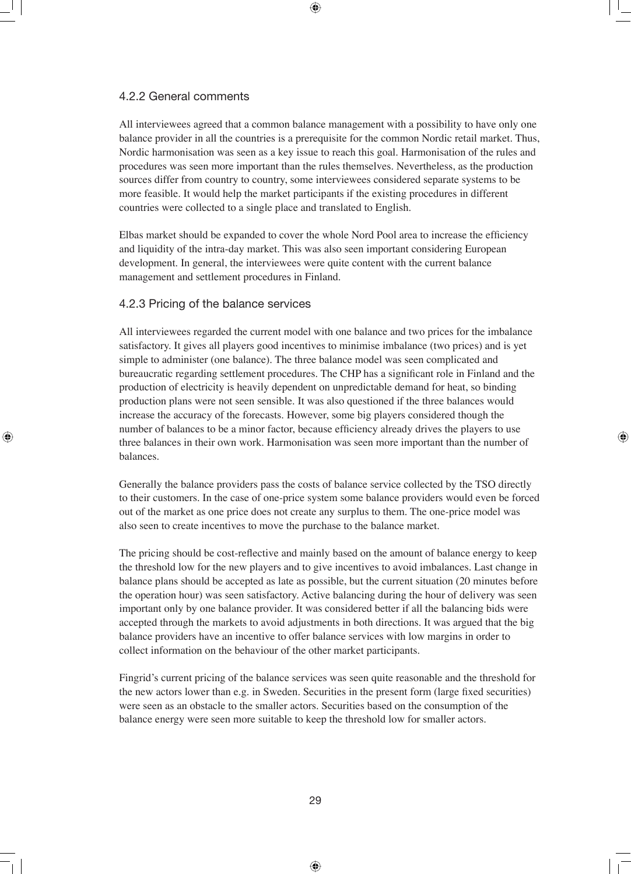#### 4.2.2 General comments

All interviewees agreed that a common balance management with a possibility to have only one balance provider in all the countries is a prerequisite for the common Nordic retail market. Thus, Nordic harmonisation was seen as a key issue to reach this goal. Harmonisation of the rules and procedures was seen more important than the rules themselves. Nevertheless, as the production sources differ from country to country, some interviewees considered separate systems to be more feasible. It would help the market participants if the existing procedures in different countries were collected to a single place and translated to English.

Elbas market should be expanded to cover the whole Nord Pool area to increase the efficiency and liquidity of the intra-day market. This was also seen important considering European development. In general, the interviewees were quite content with the current balance management and settlement procedures in Finland.

#### 4.2.3 Pricing of the balance services

All interviewees regarded the current model with one balance and two prices for the imbalance satisfactory. It gives all players good incentives to minimise imbalance (two prices) and is yet simple to administer (one balance). The three balance model was seen complicated and bureaucratic regarding settlement procedures. The CHP has a significant role in Finland and the production of electricity is heavily dependent on unpredictable demand for heat, so binding production plans were not seen sensible. It was also questioned if the three balances would increase the accuracy of the forecasts. However, some big players considered though the number of balances to be a minor factor, because efficiency already drives the players to use three balances in their own work. Harmonisation was seen more important than the number of balances.

Generally the balance providers pass the costs of balance service collected by the TSO directly to their customers. In the case of one-price system some balance providers would even be forced out of the market as one price does not create any surplus to them. The one-price model was also seen to create incentives to move the purchase to the balance market.

The pricing should be cost-reflective and mainly based on the amount of balance energy to keep the threshold low for the new players and to give incentives to avoid imbalances. Last change in balance plans should be accepted as late as possible, but the current situation (20 minutes before the operation hour) was seen satisfactory. Active balancing during the hour of delivery was seen important only by one balance provider. It was considered better if all the balancing bids were accepted through the markets to avoid adjustments in both directions. It was argued that the big balance providers have an incentive to offer balance services with low margins in order to collect information on the behaviour of the other market participants.

Fingrid's current pricing of the balance services was seen quite reasonable and the threshold for the new actors lower than e.g. in Sweden. Securities in the present form (large fixed securities) were seen as an obstacle to the smaller actors. Securities based on the consumption of the balance energy were seen more suitable to keep the threshold low for smaller actors.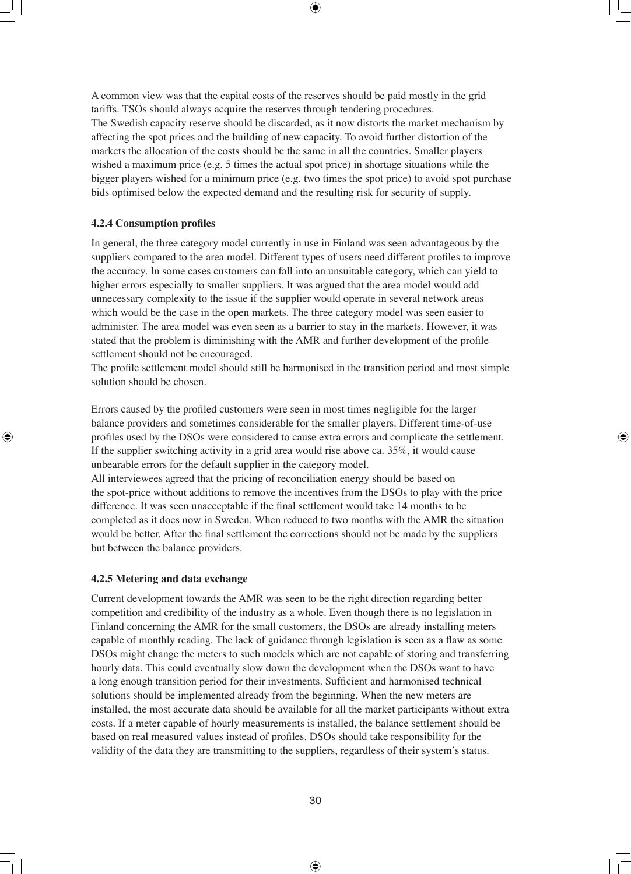A common view was that the capital costs of the reserves should be paid mostly in the grid tariffs. TSOs should always acquire the reserves through tendering procedures. The Swedish capacity reserve should be discarded, as it now distorts the market mechanism by affecting the spot prices and the building of new capacity. To avoid further distortion of the markets the allocation of the costs should be the same in all the countries. Smaller players wished a maximum price (e.g. 5 times the actual spot price) in shortage situations while the bigger players wished for a minimum price (e.g. two times the spot price) to avoid spot purchase bids optimised below the expected demand and the resulting risk for security of supply.

#### **4.2.4 Consumption profiles**

In general, the three category model currently in use in Finland was seen advantageous by the suppliers compared to the area model. Different types of users need different profiles to improve the accuracy. In some cases customers can fall into an unsuitable category, which can yield to higher errors especially to smaller suppliers. It was argued that the area model would add unnecessary complexity to the issue if the supplier would operate in several network areas which would be the case in the open markets. The three category model was seen easier to administer. The area model was even seen as a barrier to stay in the markets. However, it was stated that the problem is diminishing with the AMR and further development of the profile settlement should not be encouraged.

The profile settlement model should still be harmonised in the transition period and most simple solution should be chosen.

Errors caused by the profiled customers were seen in most times negligible for the larger balance providers and sometimes considerable for the smaller players. Different time-of-use profiles used by the DSOs were considered to cause extra errors and complicate the settlement. If the supplier switching activity in a grid area would rise above ca. 35%, it would cause unbearable errors for the default supplier in the category model.

All interviewees agreed that the pricing of reconciliation energy should be based on the spot-price without additions to remove the incentives from the DSOs to play with the price difference. It was seen unacceptable if the final settlement would take 14 months to be completed as it does now in Sweden. When reduced to two months with the AMR the situation would be better. After the final settlement the corrections should not be made by the suppliers but between the balance providers.

#### **4.2.5 Metering and data exchange**

Current development towards the AMR was seen to be the right direction regarding better competition and credibility of the industry as a whole. Even though there is no legislation in Finland concerning the AMR for the small customers, the DSOs are already installing meters capable of monthly reading. The lack of guidance through legislation is seen as a flaw as some DSOs might change the meters to such models which are not capable of storing and transferring hourly data. This could eventually slow down the development when the DSOs want to have a long enough transition period for their investments. Sufficient and harmonised technical solutions should be implemented already from the beginning. When the new meters are installed, the most accurate data should be available for all the market participants without extra costs. If a meter capable of hourly measurements is installed, the balance settlement should be based on real measured values instead of profiles. DSOs should take responsibility for the validity of the data they are transmitting to the suppliers, regardless of their system's status.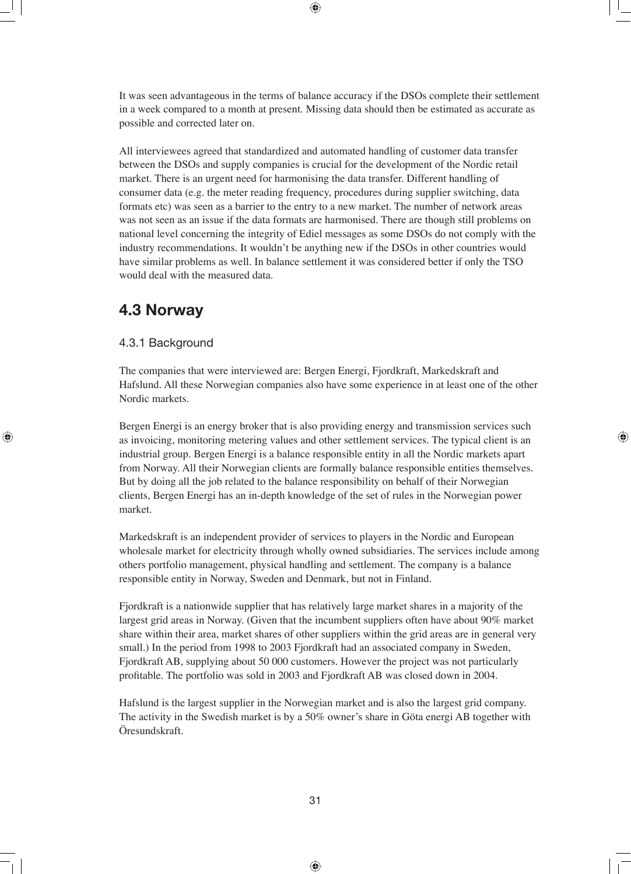It was seen advantageous in the terms of balance accuracy if the DSOs complete their settlement in a week compared to a month at present. Missing data should then be estimated as accurate as possible and corrected later on.

All interviewees agreed that standardized and automated handling of customer data transfer between the DSOs and supply companies is crucial for the development of the Nordic retail market. There is an urgent need for harmonising the data transfer. Different handling of consumer data (e.g. the meter reading frequency, procedures during supplier switching, data formats etc) was seen as a barrier to the entry to a new market. The number of network areas was not seen as an issue if the data formats are harmonised. There are though still problems on national level concerning the integrity of Ediel messages as some DSOs do not comply with the industry recommendations. It wouldn't be anything new if the DSOs in other countries would have similar problems as well. In balance settlement it was considered better if only the TSO would deal with the measured data.

## **4.3 Norway**

#### 4.3.1 Background

The companies that were interviewed are: Bergen Energi, Fjordkraft, Markedskraft and Hafslund. All these Norwegian companies also have some experience in at least one of the other Nordic markets.

Bergen Energi is an energy broker that is also providing energy and transmission services such as invoicing, monitoring metering values and other settlement services. The typical client is an industrial group. Bergen Energi is a balance responsible entity in all the Nordic markets apart from Norway. All their Norwegian clients are formally balance responsible entities themselves. But by doing all the job related to the balance responsibility on behalf of their Norwegian clients, Bergen Energi has an in-depth knowledge of the set of rules in the Norwegian power market.

Markedskraft is an independent provider of services to players in the Nordic and European wholesale market for electricity through wholly owned subsidiaries. The services include among others portfolio management, physical handling and settlement. The company is a balance responsible entity in Norway, Sweden and Denmark, but not in Finland.

Fjordkraft is a nationwide supplier that has relatively large market shares in a majority of the largest grid areas in Norway. (Given that the incumbent suppliers often have about 90% market share within their area, market shares of other suppliers within the grid areas are in general very small.) In the period from 1998 to 2003 Fjordkraft had an associated company in Sweden, Fjordkraft AB, supplying about 50 000 customers. However the project was not particularly profi table. The portfolio was sold in 2003 and Fjordkraft AB was closed down in 2004.

Hafslund is the largest supplier in the Norwegian market and is also the largest grid company. The activity in the Swedish market is by a 50% owner's share in Göta energi AB together with Öresundskraft.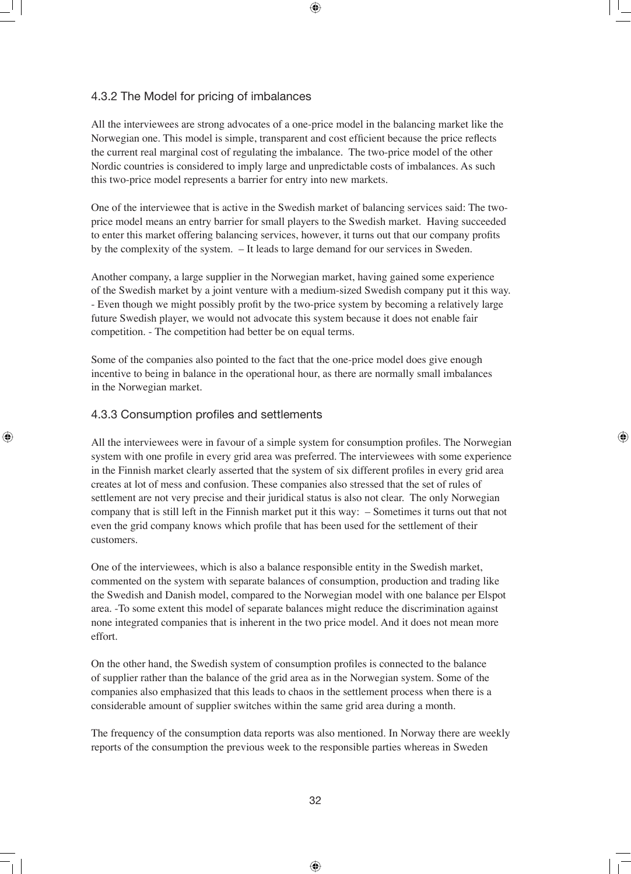#### 4.3.2 The Model for pricing of imbalances

All the interviewees are strong advocates of a one-price model in the balancing market like the Norwegian one. This model is simple, transparent and cost efficient because the price reflects the current real marginal cost of regulating the imbalance. The two-price model of the other Nordic countries is considered to imply large and unpredictable costs of imbalances. As such this two-price model represents a barrier for entry into new markets.

One of the interviewee that is active in the Swedish market of balancing services said: The twoprice model means an entry barrier for small players to the Swedish market. Having succeeded to enter this market offering balancing services, however, it turns out that our company profits by the complexity of the system. – It leads to large demand for our services in Sweden.

Another company, a large supplier in the Norwegian market, having gained some experience of the Swedish market by a joint venture with a medium-sized Swedish company put it this way. - Even though we might possibly profit by the two-price system by becoming a relatively large future Swedish player, we would not advocate this system because it does not enable fair competition. - The competition had better be on equal terms.

Some of the companies also pointed to the fact that the one-price model does give enough incentive to being in balance in the operational hour, as there are normally small imbalances in the Norwegian market.

#### 4.3.3 Consumption profiles and settlements

All the interviewees were in favour of a simple system for consumption profiles. The Norwegian system with one profile in every grid area was preferred. The interviewees with some experience in the Finnish market clearly asserted that the system of six different profiles in every grid area creates at lot of mess and confusion. These companies also stressed that the set of rules of settlement are not very precise and their juridical status is also not clear. The only Norwegian company that is still left in the Finnish market put it this way: – Sometimes it turns out that not even the grid company knows which profile that has been used for the settlement of their customers.

One of the interviewees, which is also a balance responsible entity in the Swedish market, commented on the system with separate balances of consumption, production and trading like the Swedish and Danish model, compared to the Norwegian model with one balance per Elspot area. -To some extent this model of separate balances might reduce the discrimination against none integrated companies that is inherent in the two price model. And it does not mean more effort.

On the other hand, the Swedish system of consumption profiles is connected to the balance of supplier rather than the balance of the grid area as in the Norwegian system. Some of the companies also emphasized that this leads to chaos in the settlement process when there is a considerable amount of supplier switches within the same grid area during a month.

The frequency of the consumption data reports was also mentioned. In Norway there are weekly reports of the consumption the previous week to the responsible parties whereas in Sweden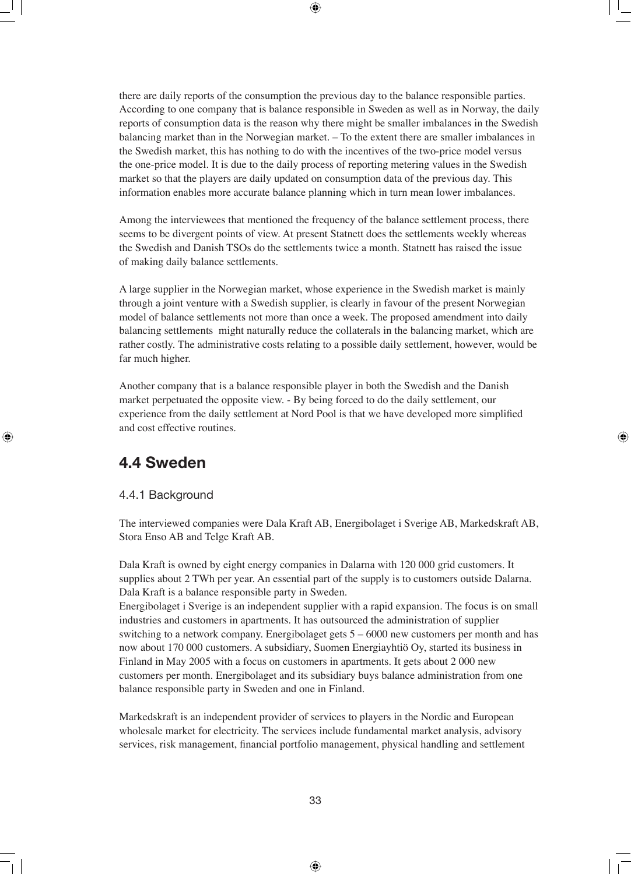there are daily reports of the consumption the previous day to the balance responsible parties. According to one company that is balance responsible in Sweden as well as in Norway, the daily reports of consumption data is the reason why there might be smaller imbalances in the Swedish balancing market than in the Norwegian market. – To the extent there are smaller imbalances in the Swedish market, this has nothing to do with the incentives of the two-price model versus the one-price model. It is due to the daily process of reporting metering values in the Swedish market so that the players are daily updated on consumption data of the previous day. This information enables more accurate balance planning which in turn mean lower imbalances.

Among the interviewees that mentioned the frequency of the balance settlement process, there seems to be divergent points of view. At present Statnett does the settlements weekly whereas the Swedish and Danish TSOs do the settlements twice a month. Statnett has raised the issue of making daily balance settlements.

A large supplier in the Norwegian market, whose experience in the Swedish market is mainly through a joint venture with a Swedish supplier, is clearly in favour of the present Norwegian model of balance settlements not more than once a week. The proposed amendment into daily balancing settlements might naturally reduce the collaterals in the balancing market, which are rather costly. The administrative costs relating to a possible daily settlement, however, would be far much higher.

Another company that is a balance responsible player in both the Swedish and the Danish market perpetuated the opposite view. - By being forced to do the daily settlement, our experience from the daily settlement at Nord Pool is that we have developed more simplified and cost effective routines.

## **4.4 Sweden**

#### 4.4.1 Background

The interviewed companies were Dala Kraft AB, Energibolaget i Sverige AB, Markedskraft AB, Stora Enso AB and Telge Kraft AB.

Dala Kraft is owned by eight energy companies in Dalarna with 120 000 grid customers. It supplies about 2 TWh per year. An essential part of the supply is to customers outside Dalarna. Dala Kraft is a balance responsible party in Sweden.

Energibolaget i Sverige is an independent supplier with a rapid expansion. The focus is on small industries and customers in apartments. It has outsourced the administration of supplier switching to a network company. Energibolaget gets 5 – 6000 new customers per month and has now about 170 000 customers. A subsidiary, Suomen Energiayhtiö Oy, started its business in Finland in May 2005 with a focus on customers in apartments. It gets about 2 000 new customers per month. Energibolaget and its subsidiary buys balance administration from one balance responsible party in Sweden and one in Finland.

Markedskraft is an independent provider of services to players in the Nordic and European wholesale market for electricity. The services include fundamental market analysis, advisory services, risk management, financial portfolio management, physical handling and settlement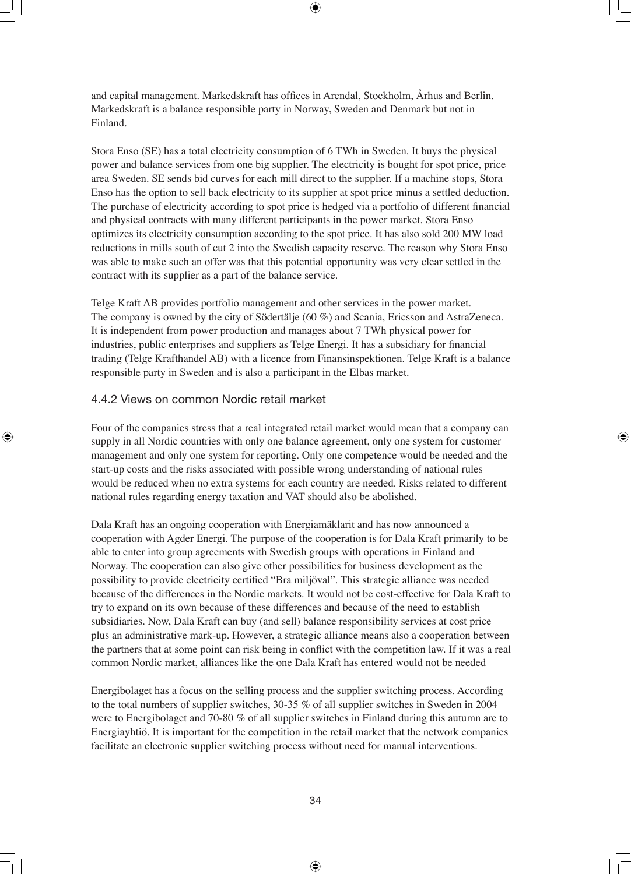and capital management. Markedskraft has offices in Arendal, Stockholm, Århus and Berlin. Markedskraft is a balance responsible party in Norway, Sweden and Denmark but not in Finland.

Stora Enso (SE) has a total electricity consumption of 6 TWh in Sweden. It buys the physical power and balance services from one big supplier. The electricity is bought for spot price, price area Sweden. SE sends bid curves for each mill direct to the supplier. If a machine stops, Stora Enso has the option to sell back electricity to its supplier at spot price minus a settled deduction. The purchase of electricity according to spot price is hedged via a portfolio of different financial and physical contracts with many different participants in the power market. Stora Enso optimizes its electricity consumption according to the spot price. It has also sold 200 MW load reductions in mills south of cut 2 into the Swedish capacity reserve. The reason why Stora Enso was able to make such an offer was that this potential opportunity was very clear settled in the contract with its supplier as a part of the balance service.

Telge Kraft AB provides portfolio management and other services in the power market. The company is owned by the city of Södertälje (60 %) and Scania, Ericsson and AstraZeneca. It is independent from power production and manages about 7 TWh physical power for industries, public enterprises and suppliers as Telge Energi. It has a subsidiary for financial trading (Telge Krafthandel AB) with a licence from Finansinspektionen. Telge Kraft is a balance responsible party in Sweden and is also a participant in the Elbas market.

#### 4.4.2 Views on common Nordic retail market

Four of the companies stress that a real integrated retail market would mean that a company can supply in all Nordic countries with only one balance agreement, only one system for customer management and only one system for reporting. Only one competence would be needed and the start-up costs and the risks associated with possible wrong understanding of national rules would be reduced when no extra systems for each country are needed. Risks related to different national rules regarding energy taxation and VAT should also be abolished.

Dala Kraft has an ongoing cooperation with Energiamäklarit and has now announced a cooperation with Agder Energi. The purpose of the cooperation is for Dala Kraft primarily to be able to enter into group agreements with Swedish groups with operations in Finland and Norway. The cooperation can also give other possibilities for business development as the possibility to provide electricity certified "Bra miljöval". This strategic alliance was needed because of the differences in the Nordic markets. It would not be cost-effective for Dala Kraft to try to expand on its own because of these differences and because of the need to establish subsidiaries. Now, Dala Kraft can buy (and sell) balance responsibility services at cost price plus an administrative mark-up. However, a strategic alliance means also a cooperation between the partners that at some point can risk being in conflict with the competition law. If it was a real common Nordic market, alliances like the one Dala Kraft has entered would not be needed

Energibolaget has a focus on the selling process and the supplier switching process. According to the total numbers of supplier switches, 30-35 % of all supplier switches in Sweden in 2004 were to Energibolaget and 70-80 % of all supplier switches in Finland during this autumn are to Energiayhtiö. It is important for the competition in the retail market that the network companies facilitate an electronic supplier switching process without need for manual interventions.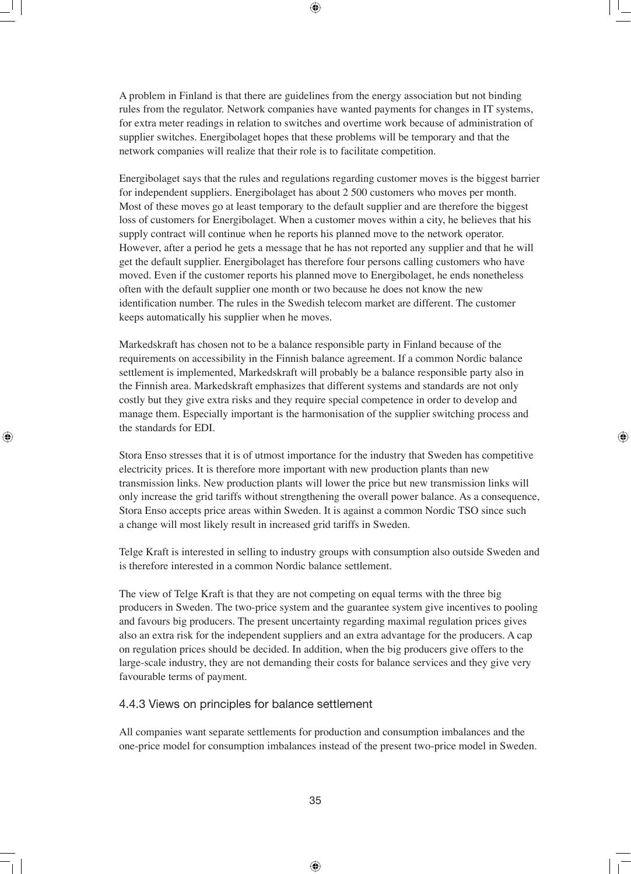A problem in Finland is that there are guidelines from the energy association but not binding rules from the regulator. Network companies have wanted payments for changes in IT systems, for extra meter readings in relation to switches and overtime work because of administration of supplier switches. Energibolaget hopes that these problems will be temporary and that the network companies will realize that their role is to facilitate competition.

Energibolaget says that the rules and regulations regarding customer moves is the biggest barrier for independent suppliers. Energibolaget has about 2 500 customers who moves per month. Most of these moves go at least temporary to the default supplier and are therefore the biggest loss of customers for Energibolaget. When a customer moves within a city, he believes that his supply contract will continue when he reports his planned move to the network operator. However, after a period he gets a message that he has not reported any supplier and that he will get the default supplier. Energibolaget has therefore four persons calling customers who have moved. Even if the customer reports his planned move to Energibolaget, he ends nonetheless often with the default supplier one month or two because he does not know the new identification number. The rules in the Swedish telecom market are different. The customer keeps automatically his supplier when he moves.

Markedskraft has chosen not to be a balance responsible party in Finland because of the requirements on accessibility in the Finnish balance agreement. If a common Nordic balance settlement is implemented, Markedskraft will probably be a balance responsible party also in the Finnish area. Markedskraft emphasizes that different systems and standards are not only costly but they give extra risks and they require special competence in order to develop and manage them. Especially important is the harmonisation of the supplier switching process and the standards for EDI.

Stora Enso stresses that it is of utmost importance for the industry that Sweden has competitive electricity prices. It is therefore more important with new production plants than new transmission links. New production plants will lower the price but new transmission links will only increase the grid tariffs without strengthening the overall power balance. As a consequence, Stora Enso accepts price areas within Sweden. It is against a common Nordic TSO since such a change will most likely result in increased grid tariffs in Sweden.

Telge Kraft is interested in selling to industry groups with consumption also outside Sweden and is therefore interested in a common Nordic balance settlement.

The view of Telge Kraft is that they are not competing on equal terms with the three big producers in Sweden. The two-price system and the guarantee system give incentives to pooling and favours big producers. The present uncertainty regarding maximal regulation prices gives also an extra risk for the independent suppliers and an extra advantage for the producers. A cap on regulation prices should be decided. In addition, when the big producers give offers to the large-scale industry, they are not demanding their costs for balance services and they give very favourable terms of payment.

#### 4.4.3 Views on principles for balance settlement

All companies want separate settlements for production and consumption imbalances and the one-price model for consumption imbalances instead of the present two-price model in Sweden.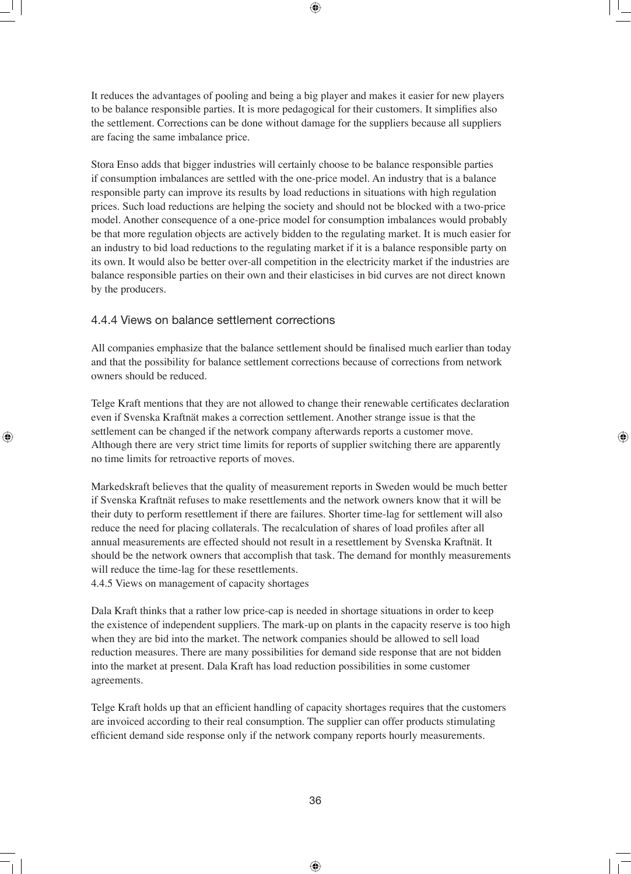It reduces the advantages of pooling and being a big player and makes it easier for new players to be balance responsible parties. It is more pedagogical for their customers. It simplifies also the settlement. Corrections can be done without damage for the suppliers because all suppliers are facing the same imbalance price.

Stora Enso adds that bigger industries will certainly choose to be balance responsible parties if consumption imbalances are settled with the one-price model. An industry that is a balance responsible party can improve its results by load reductions in situations with high regulation prices. Such load reductions are helping the society and should not be blocked with a two-price model. Another consequence of a one-price model for consumption imbalances would probably be that more regulation objects are actively bidden to the regulating market. It is much easier for an industry to bid load reductions to the regulating market if it is a balance responsible party on its own. It would also be better over-all competition in the electricity market if the industries are balance responsible parties on their own and their elasticises in bid curves are not direct known by the producers.

#### 4.4.4 Views on balance settlement corrections

All companies emphasize that the balance settlement should be finalised much earlier than today and that the possibility for balance settlement corrections because of corrections from network owners should be reduced.

Telge Kraft mentions that they are not allowed to change their renewable certificates declaration even if Svenska Kraftnät makes a correction settlement. Another strange issue is that the settlement can be changed if the network company afterwards reports a customer move. Although there are very strict time limits for reports of supplier switching there are apparently no time limits for retroactive reports of moves.

Markedskraft believes that the quality of measurement reports in Sweden would be much better if Svenska Kraftnät refuses to make resettlements and the network owners know that it will be their duty to perform resettlement if there are failures. Shorter time-lag for settlement will also reduce the need for placing collaterals. The recalculation of shares of load profiles after all annual measurements are effected should not result in a resettlement by Svenska Kraftnät. It should be the network owners that accomplish that task. The demand for monthly measurements will reduce the time-lag for these resettlements.

4.4.5 Views on management of capacity shortages

Dala Kraft thinks that a rather low price-cap is needed in shortage situations in order to keep the existence of independent suppliers. The mark-up on plants in the capacity reserve is too high when they are bid into the market. The network companies should be allowed to sell load reduction measures. There are many possibilities for demand side response that are not bidden into the market at present. Dala Kraft has load reduction possibilities in some customer agreements.

Telge Kraft holds up that an efficient handling of capacity shortages requires that the customers are invoiced according to their real consumption. The supplier can offer products stimulating efficient demand side response only if the network company reports hourly measurements.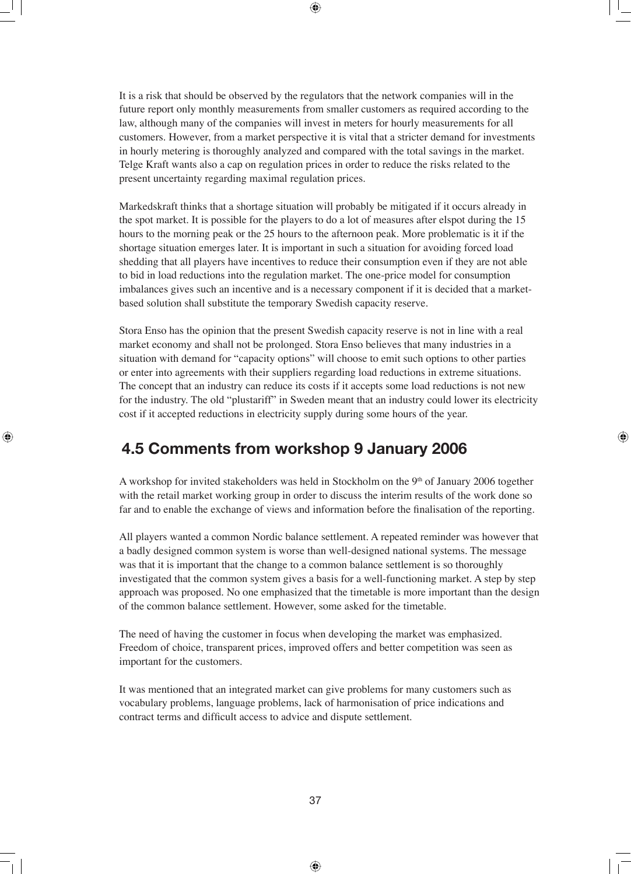It is a risk that should be observed by the regulators that the network companies will in the future report only monthly measurements from smaller customers as required according to the law, although many of the companies will invest in meters for hourly measurements for all customers. However, from a market perspective it is vital that a stricter demand for investments in hourly metering is thoroughly analyzed and compared with the total savings in the market. Telge Kraft wants also a cap on regulation prices in order to reduce the risks related to the present uncertainty regarding maximal regulation prices.

Markedskraft thinks that a shortage situation will probably be mitigated if it occurs already in the spot market. It is possible for the players to do a lot of measures after elspot during the 15 hours to the morning peak or the 25 hours to the afternoon peak. More problematic is it if the shortage situation emerges later. It is important in such a situation for avoiding forced load shedding that all players have incentives to reduce their consumption even if they are not able to bid in load reductions into the regulation market. The one-price model for consumption imbalances gives such an incentive and is a necessary component if it is decided that a marketbased solution shall substitute the temporary Swedish capacity reserve.

Stora Enso has the opinion that the present Swedish capacity reserve is not in line with a real market economy and shall not be prolonged. Stora Enso believes that many industries in a situation with demand for "capacity options" will choose to emit such options to other parties or enter into agreements with their suppliers regarding load reductions in extreme situations. The concept that an industry can reduce its costs if it accepts some load reductions is not new for the industry. The old "plustariff" in Sweden meant that an industry could lower its electricity cost if it accepted reductions in electricity supply during some hours of the year.

## **4.5 Comments from workshop 9 January 2006**

A workshop for invited stakeholders was held in Stockholm on the  $9<sup>th</sup>$  of January 2006 together with the retail market working group in order to discuss the interim results of the work done so far and to enable the exchange of views and information before the finalisation of the reporting.

All players wanted a common Nordic balance settlement. A repeated reminder was however that a badly designed common system is worse than well-designed national systems. The message was that it is important that the change to a common balance settlement is so thoroughly investigated that the common system gives a basis for a well-functioning market. A step by step approach was proposed. No one emphasized that the timetable is more important than the design of the common balance settlement. However, some asked for the timetable.

The need of having the customer in focus when developing the market was emphasized. Freedom of choice, transparent prices, improved offers and better competition was seen as important for the customers.

It was mentioned that an integrated market can give problems for many customers such as vocabulary problems, language problems, lack of harmonisation of price indications and contract terms and difficult access to advice and dispute settlement.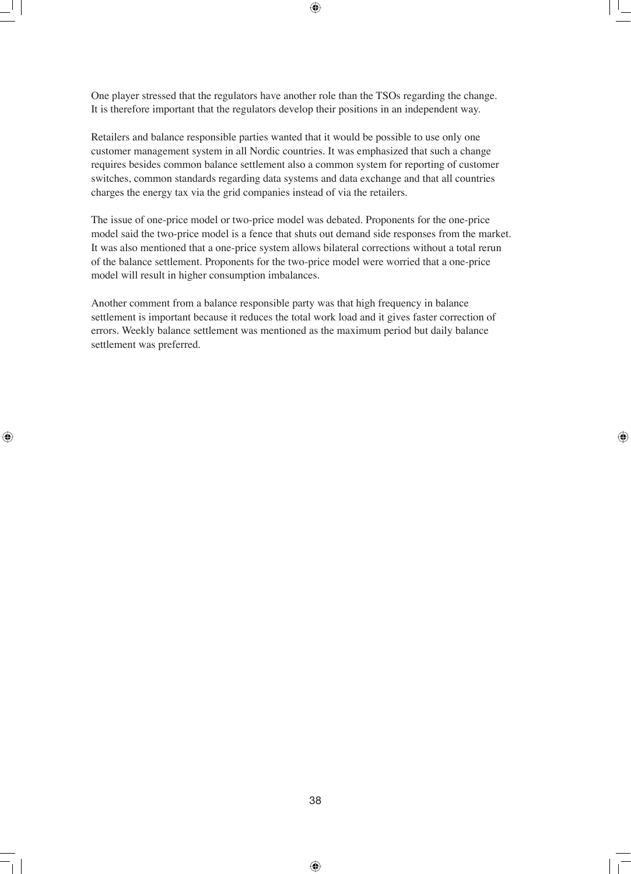One player stressed that the regulators have another role than the TSOs regarding the change. It is therefore important that the regulators develop their positions in an independent way.

Retailers and balance responsible parties wanted that it would be possible to use only one customer management system in all Nordic countries. It was emphasized that such a change requires besides common balance settlement also a common system for reporting of customer switches, common standards regarding data systems and data exchange and that all countries charges the energy tax via the grid companies instead of via the retailers.

The issue of one-price model or two-price model was debated. Proponents for the one-price model said the two-price model is a fence that shuts out demand side responses from the market. It was also mentioned that a one-price system allows bilateral corrections without a total rerun of the balance settlement. Proponents for the two-price model were worried that a one-price model will result in higher consumption imbalances.

Another comment from a balance responsible party was that high frequency in balance settlement is important because it reduces the total work load and it gives faster correction of errors. Weekly balance settlement was mentioned as the maximum period but daily balance settlement was preferred.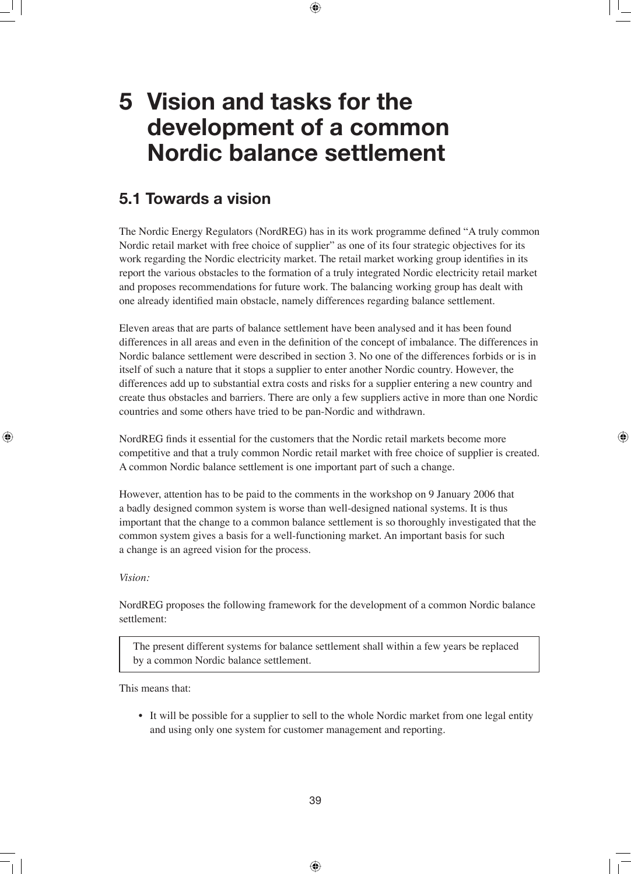## **5 Vision and tasks for the development of a common Nordic balance settlement**

## **5.1 Towards a vision**

The Nordic Energy Regulators (NordREG) has in its work programme defined "A truly common Nordic retail market with free choice of supplier" as one of its four strategic objectives for its work regarding the Nordic electricity market. The retail market working group identifies in its report the various obstacles to the formation of a truly integrated Nordic electricity retail market and proposes recommendations for future work. The balancing working group has dealt with one already identified main obstacle, namely differences regarding balance settlement.

Eleven areas that are parts of balance settlement have been analysed and it has been found differences in all areas and even in the definition of the concept of imbalance. The differences in Nordic balance settlement were described in section 3. No one of the differences forbids or is in itself of such a nature that it stops a supplier to enter another Nordic country. However, the differences add up to substantial extra costs and risks for a supplier entering a new country and create thus obstacles and barriers. There are only a few suppliers active in more than one Nordic countries and some others have tried to be pan-Nordic and withdrawn.

NordREG finds it essential for the customers that the Nordic retail markets become more competitive and that a truly common Nordic retail market with free choice of supplier is created. A common Nordic balance settlement is one important part of such a change.

However, attention has to be paid to the comments in the workshop on 9 January 2006 that a badly designed common system is worse than well-designed national systems. It is thus important that the change to a common balance settlement is so thoroughly investigated that the common system gives a basis for a well-functioning market. An important basis for such a change is an agreed vision for the process.

#### *Vision:*

NordREG proposes the following framework for the development of a common Nordic balance settlement:

The present different systems for balance settlement shall within a few years be replaced by a common Nordic balance settlement.

This means that:

 • It will be possible for a supplier to sell to the whole Nordic market from one legal entity and using only one system for customer management and reporting.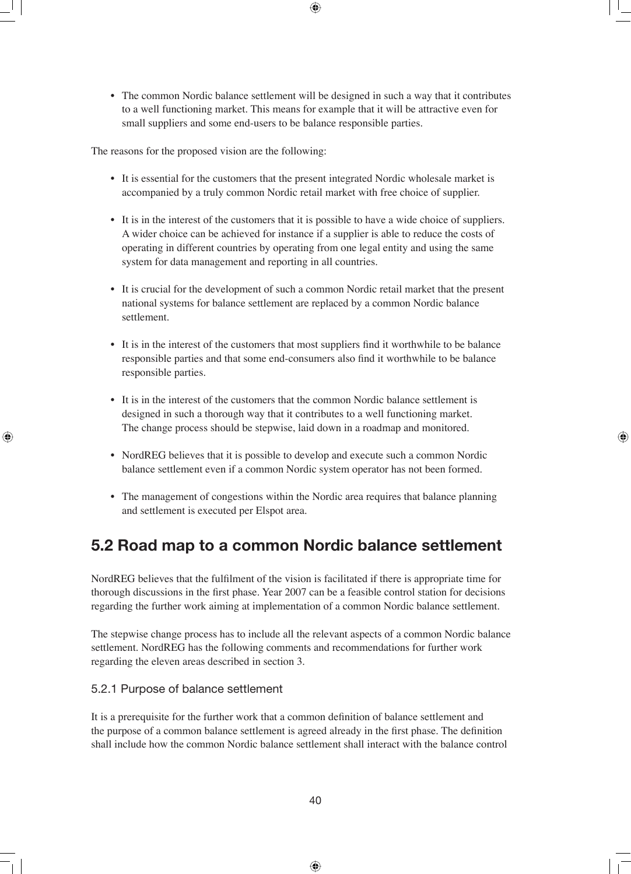• The common Nordic balance settlement will be designed in such a way that it contributes to a well functioning market. This means for example that it will be attractive even for small suppliers and some end-users to be balance responsible parties.

The reasons for the proposed vision are the following:

- It is essential for the customers that the present integrated Nordic wholesale market is accompanied by a truly common Nordic retail market with free choice of supplier.
- It is in the interest of the customers that it is possible to have a wide choice of suppliers. A wider choice can be achieved for instance if a supplier is able to reduce the costs of operating in different countries by operating from one legal entity and using the same system for data management and reporting in all countries.
- It is crucial for the development of such a common Nordic retail market that the present national systems for balance settlement are replaced by a common Nordic balance settlement.
- It is in the interest of the customers that most suppliers find it worthwhile to be balance responsible parties and that some end-consumers also find it worthwhile to be balance responsible parties.
- It is in the interest of the customers that the common Nordic balance settlement is designed in such a thorough way that it contributes to a well functioning market. The change process should be stepwise, laid down in a roadmap and monitored.
- NordREG believes that it is possible to develop and execute such a common Nordic balance settlement even if a common Nordic system operator has not been formed.
- The management of congestions within the Nordic area requires that balance planning and settlement is executed per Elspot area.

## **5.2 Road map to a common Nordic balance settlement**

NordREG believes that the fulfilment of the vision is facilitated if there is appropriate time for thorough discussions in the first phase. Year 2007 can be a feasible control station for decisions regarding the further work aiming at implementation of a common Nordic balance settlement.

The stepwise change process has to include all the relevant aspects of a common Nordic balance settlement. NordREG has the following comments and recommendations for further work regarding the eleven areas described in section 3.

#### 5.2.1 Purpose of balance settlement

It is a prerequisite for the further work that a common definition of balance settlement and the purpose of a common balance settlement is agreed already in the first phase. The definition shall include how the common Nordic balance settlement shall interact with the balance control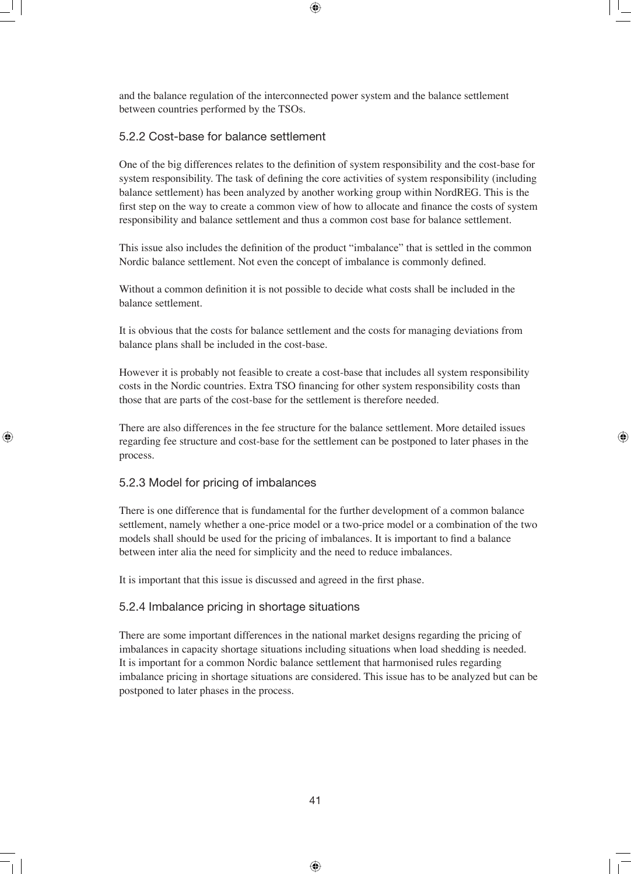and the balance regulation of the interconnected power system and the balance settlement between countries performed by the TSOs.

#### 5.2.2 Cost-base for balance settlement

One of the big differences relates to the definition of system responsibility and the cost-base for system responsibility. The task of defining the core activities of system responsibility (including balance settlement) has been analyzed by another working group within NordREG. This is the first step on the way to create a common view of how to allocate and finance the costs of system responsibility and balance settlement and thus a common cost base for balance settlement.

This issue also includes the definition of the product "imbalance" that is settled in the common Nordic balance settlement. Not even the concept of imbalance is commonly defined.

Without a common definition it is not possible to decide what costs shall be included in the balance settlement.

It is obvious that the costs for balance settlement and the costs for managing deviations from balance plans shall be included in the cost-base.

However it is probably not feasible to create a cost-base that includes all system responsibility costs in the Nordic countries. Extra TSO financing for other system responsibility costs than those that are parts of the cost-base for the settlement is therefore needed.

There are also differences in the fee structure for the balance settlement. More detailed issues regarding fee structure and cost-base for the settlement can be postponed to later phases in the process.

#### 5.2.3 Model for pricing of imbalances

There is one difference that is fundamental for the further development of a common balance settlement, namely whether a one-price model or a two-price model or a combination of the two models shall should be used for the pricing of imbalances. It is important to find a balance between inter alia the need for simplicity and the need to reduce imbalances.

It is important that this issue is discussed and agreed in the first phase.

#### 5.2.4 Imbalance pricing in shortage situations

There are some important differences in the national market designs regarding the pricing of imbalances in capacity shortage situations including situations when load shedding is needed. It is important for a common Nordic balance settlement that harmonised rules regarding imbalance pricing in shortage situations are considered. This issue has to be analyzed but can be postponed to later phases in the process.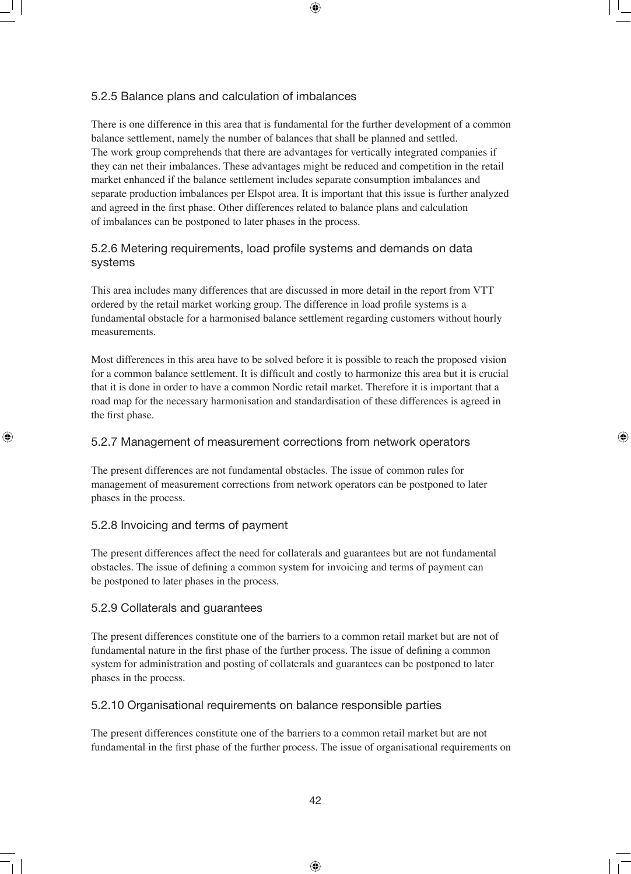#### 5.2.5 Balance plans and calculation of imbalances

There is one difference in this area that is fundamental for the further development of a common balance settlement, namely the number of balances that shall be planned and settled. The work group comprehends that there are advantages for vertically integrated companies if they can net their imbalances. These advantages might be reduced and competition in the retail market enhanced if the balance settlement includes separate consumption imbalances and separate production imbalances per Elspot area. It is important that this issue is further analyzed and agreed in the first phase. Other differences related to balance plans and calculation of imbalances can be postponed to later phases in the process.

#### 5.2.6 Metering requirements, load profile systems and demands on data systems

This area includes many differences that are discussed in more detail in the report from VTT ordered by the retail market working group. The difference in load profile systems is a fundamental obstacle for a harmonised balance settlement regarding customers without hourly measurements.

Most differences in this area have to be solved before it is possible to reach the proposed vision for a common balance settlement. It is difficult and costly to harmonize this area but it is crucial that it is done in order to have a common Nordic retail market. Therefore it is important that a road map for the necessary harmonisation and standardisation of these differences is agreed in the first phase.

#### 5.2.7 Management of measurement corrections from network operators

The present differences are not fundamental obstacles. The issue of common rules for management of measurement corrections from network operators can be postponed to later phases in the process.

#### 5.2.8 Invoicing and terms of payment

The present differences affect the need for collaterals and guarantees but are not fundamental obstacles. The issue of defining a common system for invoicing and terms of payment can be postponed to later phases in the process.

#### 5.2.9 Collaterals and guarantees

The present differences constitute one of the barriers to a common retail market but are not of fundamental nature in the first phase of the further process. The issue of defining a common system for administration and posting of collaterals and guarantees can be postponed to later phases in the process.

#### 5.2.10 Organisational requirements on balance responsible parties

The present differences constitute one of the barriers to a common retail market but are not fundamental in the first phase of the further process. The issue of organisational requirements on